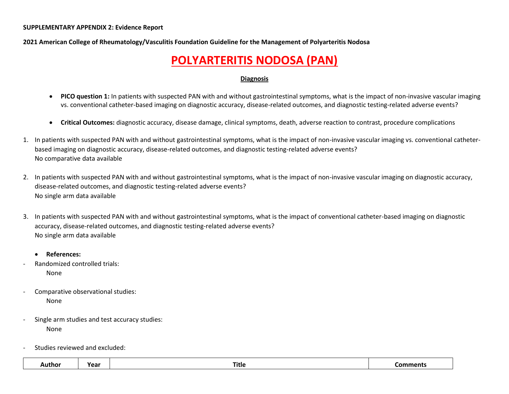**2021 American College of Rheumatology/Vasculitis Foundation Guideline for the Management of Polyarteritis Nodosa**

## **POLYARTERITIS NODOSA (PAN)**

#### **Diagnosis**

- **PICO question 1:** In patients with suspected PAN with and without gastrointestinal symptoms, what is the impact of non-invasive vascular imaging vs. conventional catheter-based imaging on diagnostic accuracy, disease-related outcomes, and diagnostic testing-related adverse events?
- **Critical Outcomes:** diagnostic accuracy, disease damage, clinical symptoms, death, adverse reaction to contrast, procedure complications
- 1. In patients with suspected PAN with and without gastrointestinal symptoms, what is the impact of non-invasive vascular imaging vs. conventional catheterbased imaging on diagnostic accuracy, disease-related outcomes, and diagnostic testing-related adverse events? No comparative data available
- 2. In patients with suspected PAN with and without gastrointestinal symptoms, what is the impact of non-invasive vascular imaging on diagnostic accuracy, disease-related outcomes, and diagnostic testing-related adverse events? No single arm data available
- 3. In patients with suspected PAN with and without gastrointestinal symptoms, what is the impact of conventional catheter-based imaging on diagnostic accuracy, disease-related outcomes, and diagnostic testing-related adverse events? No single arm data available
	- **References:**
- Randomized controlled trials: None
- Comparative observational studies: None
- Single arm studies and test accuracy studies: None
- Studies reviewed and excluded:

| -----  | <b>Year</b> |       |  |
|--------|-------------|-------|--|
| Autnor | сан         | Title |  |
|        |             |       |  |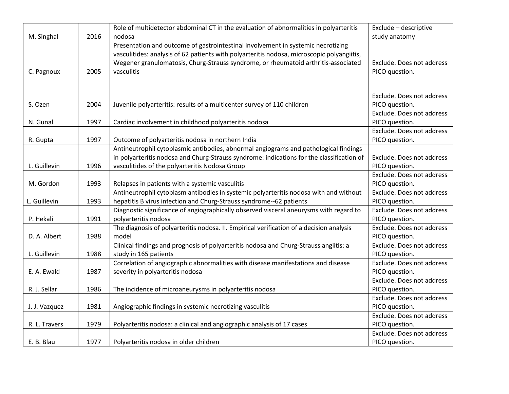|               |      | Role of multidetector abdominal CT in the evaluation of abnormalities in polyarteritis     | Exclude - descriptive     |
|---------------|------|--------------------------------------------------------------------------------------------|---------------------------|
| M. Singhal    | 2016 | nodosa                                                                                     | study anatomy             |
|               |      | Presentation and outcome of gastrointestinal involvement in systemic necrotizing           |                           |
|               |      | vasculitides: analysis of 62 patients with polyarteritis nodosa, microscopic polyangiitis, |                           |
|               |      | Wegener granulomatosis, Churg-Strauss syndrome, or rheumatoid arthritis-associated         | Exclude. Does not address |
| C. Pagnoux    | 2005 | vasculitis                                                                                 | PICO question.            |
|               |      |                                                                                            |                           |
|               |      |                                                                                            |                           |
|               |      |                                                                                            | Exclude. Does not address |
| S. Ozen       | 2004 | Juvenile polyarteritis: results of a multicenter survey of 110 children                    | PICO question.            |
|               |      |                                                                                            | Exclude. Does not address |
| N. Gunal      | 1997 | Cardiac involvement in childhood polyarteritis nodosa                                      | PICO question.            |
|               |      |                                                                                            | Exclude. Does not address |
| R. Gupta      | 1997 | Outcome of polyarteritis nodosa in northern India                                          | PICO question.            |
|               |      | Antineutrophil cytoplasmic antibodies, abnormal angiograms and pathological findings       |                           |
|               |      | in polyarteritis nodosa and Churg-Strauss syndrome: indications for the classification of  | Exclude. Does not address |
| L. Guillevin  | 1996 | vasculitides of the polyarteritis Nodosa Group                                             | PICO question.            |
|               |      |                                                                                            | Exclude. Does not address |
| M. Gordon     | 1993 | Relapses in patients with a systemic vasculitis                                            | PICO question.            |
|               |      | Antineutrophil cytoplasm antibodies in systemic polyarteritis nodosa with and without      | Exclude. Does not address |
| L. Guillevin  | 1993 | hepatitis B virus infection and Churg-Strauss syndrome--62 patients                        | PICO question.            |
|               |      | Diagnostic significance of angiographically observed visceral aneurysms with regard to     | Exclude. Does not address |
| P. Hekali     | 1991 | polyarteritis nodosa                                                                       | PICO question.            |
|               |      | The diagnosis of polyarteritis nodosa. II. Empirical verification of a decision analysis   | Exclude. Does not address |
| D. A. Albert  | 1988 | model                                                                                      | PICO question.            |
|               |      | Clinical findings and prognosis of polyarteritis nodosa and Churg-Strauss angiitis: a      | Exclude. Does not address |
| L. Guillevin  | 1988 | study in 165 patients                                                                      | PICO question.            |
|               |      | Correlation of angiographic abnormalities with disease manifestations and disease          | Exclude. Does not address |
| E. A. Ewald   | 1987 | severity in polyarteritis nodosa                                                           | PICO question.            |
|               |      |                                                                                            | Exclude. Does not address |
| R. J. Sellar  | 1986 | The incidence of microaneurysms in polyarteritis nodosa                                    | PICO question.            |
|               |      |                                                                                            | Exclude. Does not address |
| J. J. Vazquez | 1981 | Angiographic findings in systemic necrotizing vasculitis                                   | PICO question.            |
|               |      |                                                                                            | Exclude. Does not address |
| R. L. Travers | 1979 | Polyarteritis nodosa: a clinical and angiographic analysis of 17 cases                     | PICO question.            |
|               |      |                                                                                            | Exclude. Does not address |
| E. B. Blau    | 1977 | Polyarteritis nodosa in older children                                                     | PICO question.            |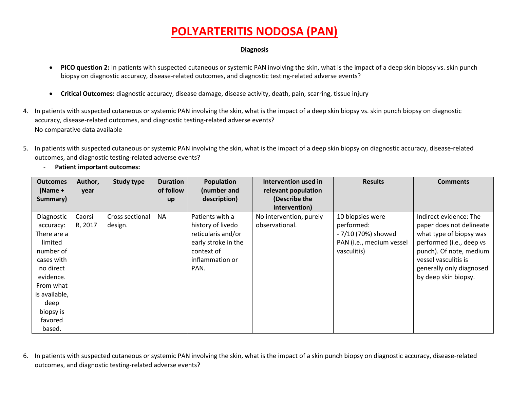### **Diagnosis**

- **PICO question 2:** In patients with suspected cutaneous or systemic PAN involving the skin, what is the impact of a deep skin biopsy vs. skin punch biopsy on diagnostic accuracy, disease-related outcomes, and diagnostic testing-related adverse events?
- **Critical Outcomes:** diagnostic accuracy, disease damage, disease activity, death, pain, scarring, tissue injury
- 4. In patients with suspected cutaneous or systemic PAN involving the skin, what is the impact of a deep skin biopsy vs. skin punch biopsy on diagnostic accuracy, disease-related outcomes, and diagnostic testing-related adverse events? No comparative data available
- 5. In patients with suspected cutaneous or systemic PAN involving the skin, what is the impact of a deep skin biopsy on diagnostic accuracy, disease-related outcomes, and diagnostic testing-related adverse events?
	- **Outcomes (Name + Summary) Author, year Study type Duration of follow up Population (number and description) Intervention used in relevant population (Describe the intervention) Results Comments** Diagnostic accuracy: There are a limited number of cases with no direct evidence. From what is available, deep biopsy is favored based. Caorsi R, 2017 Cross sectional design. NA Patients with a history of livedo reticularis and/or early stroke in the context of inflammation or PAN. No intervention, purely observational. 10 biopsies were performed: - 7/10 (70%) showed PAN (i.e., medium vessel vasculitis) Indirect evidence: The paper does not delineate what type of biopsy was performed (i.e., deep vs punch). Of note, medium vessel vasculitis is generally only diagnosed by deep skin biopsy.
- Patient important outcomes:

6. In patients with suspected cutaneous or systemic PAN involving the skin, what is the impact of a skin punch biopsy on diagnostic accuracy, disease-related outcomes, and diagnostic testing-related adverse events?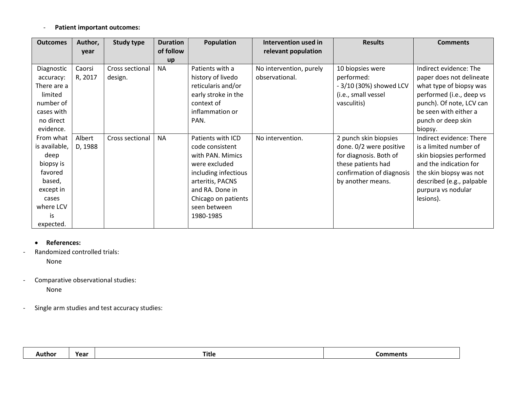## - **Patient important outcomes:**

| <b>Outcomes</b> | Author, | <b>Study type</b> | <b>Duration</b> | Population           | Intervention used in    | <b>Results</b>            | <b>Comments</b>           |
|-----------------|---------|-------------------|-----------------|----------------------|-------------------------|---------------------------|---------------------------|
|                 | year    |                   | of follow       |                      | relevant population     |                           |                           |
|                 |         |                   | up              |                      |                         |                           |                           |
| Diagnostic      | Caorsi  | Cross sectional   | <b>NA</b>       | Patients with a      | No intervention, purely | 10 biopsies were          | Indirect evidence: The    |
| accuracy:       | R, 2017 | design.           |                 | history of livedo    | observational.          | performed:                | paper does not delineate  |
| There are a     |         |                   |                 | reticularis and/or   |                         | - 3/10 (30%) showed LCV   | what type of biopsy was   |
| limited         |         |                   |                 | early stroke in the  |                         | (i.e., small vessel       | performed (i.e., deep vs  |
| number of       |         |                   |                 | context of           |                         | vasculitis)               | punch). Of note, LCV can  |
| cases with      |         |                   |                 | inflammation or      |                         |                           | be seen with either a     |
| no direct       |         |                   |                 | PAN.                 |                         |                           | punch or deep skin        |
| evidence.       |         |                   |                 |                      |                         |                           | biopsy.                   |
| From what       | Albert  | Cross sectional   | <b>NA</b>       | Patients with ICD    | No intervention.        | 2 punch skin biopsies     | Indirect evidence: There  |
| is available,   | D, 1988 |                   |                 | code consistent      |                         | done. 0/2 were positive   | is a limited number of    |
| deep            |         |                   |                 | with PAN. Mimics     |                         | for diagnosis. Both of    | skin biopsies performed   |
| biopsy is       |         |                   |                 | were excluded        |                         | these patients had        | and the indication for    |
| favored         |         |                   |                 | including infectious |                         | confirmation of diagnosis | the skin biopsy was not   |
| based,          |         |                   |                 | arteritis, PACNS     |                         | by another means.         | described (e.g., palpable |
| except in       |         |                   |                 | and RA. Done in      |                         |                           | purpura vs nodular        |
| cases           |         |                   |                 | Chicago on patients  |                         |                           | lesions).                 |
| where LCV       |         |                   |                 | seen between         |                         |                           |                           |
| is              |         |                   |                 | 1980-1985            |                         |                           |                           |
| expected.       |         |                   |                 |                      |                         |                           |                           |

### • **References:**

- Randomized controlled trials:

None

- Comparative observational studies:

None

- Single arm studies and test accuracy studies:

|  | Author | Year | $- \cdot$<br>Title | Comments |
|--|--------|------|--------------------|----------|
|--|--------|------|--------------------|----------|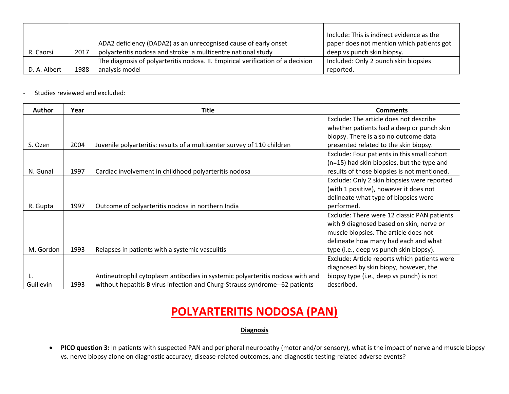|              |      |                                                                                 | Include: This is indirect evidence as the |
|--------------|------|---------------------------------------------------------------------------------|-------------------------------------------|
|              |      | ADA2 deficiency (DADA2) as an unrecognised cause of early onset                 | paper does not mention which patients got |
| R. Caorsi    | 2017 | polyarteritis nodosa and stroke: a multicentre national study                   | deep vs punch skin biopsy.                |
|              |      | The diagnosis of polyarteritis nodosa. II. Empirical verification of a decision | Included: Only 2 punch skin biopsies      |
| D. A. Albert | 1988 | analysis model                                                                  | reported.                                 |

- Studies reviewed and excluded:

| <b>Author</b> | Year | <b>Title</b>                                                                  | <b>Comments</b>                              |
|---------------|------|-------------------------------------------------------------------------------|----------------------------------------------|
|               |      |                                                                               | Exclude: The article does not describe       |
|               |      |                                                                               | whether patients had a deep or punch skin    |
|               |      |                                                                               | biopsy. There is also no outcome data        |
| S. Ozen       | 2004 | Juvenile polyarteritis: results of a multicenter survey of 110 children       | presented related to the skin biopsy.        |
|               |      |                                                                               | Exclude: Four patients in this small cohort  |
|               |      |                                                                               | (n=15) had skin biopsies, but the type and   |
| N. Gunal      | 1997 | Cardiac involvement in childhood polyarteritis nodosa                         | results of those biopsies is not mentioned.  |
|               |      |                                                                               | Exclude: Only 2 skin biopsies were reported  |
|               |      |                                                                               | (with 1 positive), however it does not       |
|               |      |                                                                               | delineate what type of biopsies were         |
| R. Gupta      | 1997 | Outcome of polyarteritis nodosa in northern India                             | performed.                                   |
|               |      |                                                                               | Exclude: There were 12 classic PAN patients  |
|               |      |                                                                               | with 9 diagnosed based on skin, nerve or     |
|               |      |                                                                               | muscle biopsies. The article does not        |
|               |      |                                                                               | delineate how many had each and what         |
| M. Gordon     | 1993 | Relapses in patients with a systemic vasculitis                               | type (i.e., deep vs punch skin biopsy).      |
|               |      |                                                                               | Exclude: Article reports which patients were |
|               |      |                                                                               | diagnosed by skin biopy, however, the        |
| L.            |      | Antineutrophil cytoplasm antibodies in systemic polyarteritis nodosa with and | biopsy type (i.e., deep vs punch) is not     |
| Guillevin     | 1993 | without hepatitis B virus infection and Churg-Strauss syndrome--62 patients   | described.                                   |

# **POLYARTERITIS NODOSA (PAN)**

### **Diagnosis**

• **PICO question 3:** In patients with suspected PAN and peripheral neuropathy (motor and/or sensory), what is the impact of nerve and muscle biopsy vs. nerve biopsy alone on diagnostic accuracy, disease-related outcomes, and diagnostic testing-related adverse events?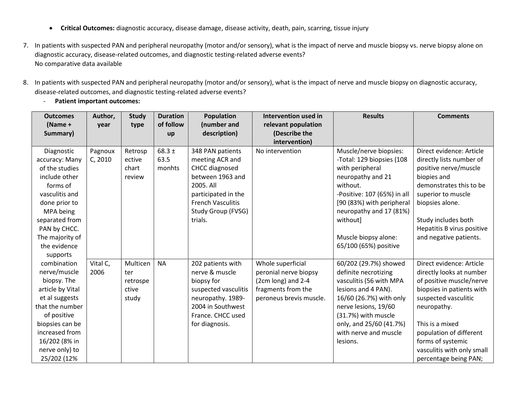- **Critical Outcomes:** diagnostic accuracy, disease damage, disease activity, death, pain, scarring, tissue injury
- 7. In patients with suspected PAN and peripheral neuropathy (motor and/or sensory), what is the impact of nerve and muscle biopsy vs. nerve biopsy alone on diagnostic accuracy, disease-related outcomes, and diagnostic testing-related adverse events? No comparative data available
- 8. In patients with suspected PAN and peripheral neuropathy (motor and/or sensory), what is the impact of nerve and muscle biopsy on diagnostic accuracy, disease-related outcomes, and diagnostic testing-related adverse events?
	- **Patient important outcomes:**

| <b>Outcomes</b>  | Author,  | <b>Study</b> | <b>Duration</b> | Population               | Intervention used in    | <b>Results</b>              | <b>Comments</b>            |
|------------------|----------|--------------|-----------------|--------------------------|-------------------------|-----------------------------|----------------------------|
| (Name +          | year     | type         | of follow       | (number and              | relevant population     |                             |                            |
| Summary)         |          |              | up              | description)             | (Describe the           |                             |                            |
|                  |          |              |                 |                          | intervention)           |                             |                            |
| Diagnostic       | Pagnoux  | Retrosp      | 68.3 $\pm$      | 348 PAN patients         | No intervention         | Muscle/nerve biopsies:      | Direct evidence: Article   |
| accuracy: Many   | C, 2010  | ective       | 63.5            | meeting ACR and          |                         | -Total: 129 biopsies (108   | directly lists number of   |
| of the studies   |          | chart        | monhts          | CHCC diagnosed           |                         | with peripheral             | positive nerve/muscle      |
| include other    |          | review       |                 | between 1963 and         |                         | neuropathy and 21           | biopies and                |
| forms of         |          |              |                 | 2005. All                |                         | without.                    | demonstrates this to be    |
| vasculitis and   |          |              |                 | participated in the      |                         | -Positive: 107 (65%) in all | superior to muscle         |
| done prior to    |          |              |                 | <b>French Vasculitis</b> |                         | [90 (83%) with peripheral   | biopsies alone.            |
| MPA being        |          |              |                 | Study Group (FVSG)       |                         | neuropathy and 17 (81%)     |                            |
| separated from   |          |              |                 | trials.                  |                         | without]                    | Study includes both        |
| PAN by CHCC.     |          |              |                 |                          |                         |                             | Hepatitis B virus positive |
| The majority of  |          |              |                 |                          |                         | Muscle biopsy alone:        | and negative patients.     |
| the evidence     |          |              |                 |                          |                         | 65/100 (65%) positive       |                            |
| supports         |          |              |                 |                          |                         |                             |                            |
| combination      | Vital C, | Multicen     | <b>NA</b>       | 202 patients with        | Whole superficial       | 60/202 (29.7%) showed       | Direct evidence: Article   |
| nerve/muscle     | 2006     | ter          |                 | nerve & muscle           | peronial nerve biopsy   | definite necrotizing        | directly looks at number   |
| biopsy. The      |          | retrospe     |                 | biopsy for               | (2cm long) and 2-4      | vasculitis (56 with MPA     | of positive muscle/nerve   |
| article by Vital |          | ctive        |                 | suspected vasculitis     | fragments from the      | lesions and 4 PAN).         | biopsies in patients with  |
| et al suggests   |          | study        |                 | neuropathy. 1989-        | peroneus brevis muscle. | 16/60 (26.7%) with only     | suspected vasculitic       |
| that the number  |          |              |                 | 2004 in Southwest        |                         | nerve lesions, 19/60        | neuropathy.                |
| of positive      |          |              |                 | France. CHCC used        |                         | (31.7%) with muscle         |                            |
| biopsies can be  |          |              |                 | for diagnosis.           |                         | only, and 25/60 (41.7%)     | This is a mixed            |
| increased from   |          |              |                 |                          |                         | with nerve and muscle       | population of different    |
| 16/202 (8% in    |          |              |                 |                          |                         | lesions.                    | forms of systemic          |
| nerve only) to   |          |              |                 |                          |                         |                             | vasculitis with only small |
| 25/202 (12%      |          |              |                 |                          |                         |                             | percentage being PAN;      |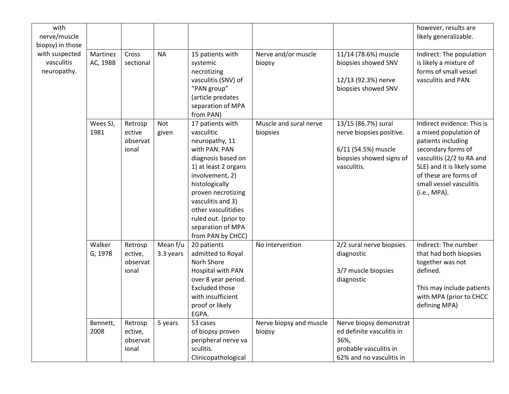| with<br>nerve/muscle<br>biopsy) in those    |                               |                                                    |                                  |                                                                                                                                                                                                                                                                                          |                                            |                                                                                                                   | however, results are<br>likely generalizable.                                                                                                                                                                                  |
|---------------------------------------------|-------------------------------|----------------------------------------------------|----------------------------------|------------------------------------------------------------------------------------------------------------------------------------------------------------------------------------------------------------------------------------------------------------------------------------------|--------------------------------------------|-------------------------------------------------------------------------------------------------------------------|--------------------------------------------------------------------------------------------------------------------------------------------------------------------------------------------------------------------------------|
| with suspected<br>vasculitis<br>neuropathy. | Martinez<br>AC, 1988          | Cross<br>sectional                                 | <b>NA</b>                        | 15 patients with<br>systemic<br>necrotizing<br>vasculitis (SNV) of<br>"PAN group"<br>(article predates<br>separation of MPA<br>from PAN)                                                                                                                                                 | Nerve and/or muscle<br>biopsy              | 11/14 (78.6%) muscle<br>biopsies showed SNV<br>12/13 (92.3%) nerve<br>biopsies showed SNV                         | Indirect: The population<br>is likely a mixture of<br>forms of small vessel<br>vasculitis and PAN.                                                                                                                             |
|                                             | Wees SJ,<br>1981              | Retrosp<br>ective<br>observat<br>ional             | Not<br>given                     | 17 patients with<br>vasculitic<br>neuropathy, 11<br>with PAN. PAN<br>diagnosis based on<br>1) at least 2 organs<br>involvement, 2)<br>histologically<br>proven necrotizing<br>vasculitis and 3)<br>other vasculitidies<br>ruled out. (prior to<br>separation of MPA<br>from PAN by CHCC) | Muscle and sural nerve<br>biopsies         | 13/15 (86.7%) sural<br>nerve biopsies positive.<br>6/11 (54.5%) muscle<br>biopsies showed signs of<br>vasculitis. | Indirect evidence: This is<br>a mixed population of<br>patients including<br>secondary forms of<br>vasculitis (2/2 to RA and<br>SLE) and it is likely some<br>of these are forms of<br>small vessel vasculitis<br>(i.e., MPA). |
|                                             | Walker<br>G, 1978<br>Bennett, | Retrosp<br>ective,<br>observat<br>ional<br>Retrosp | Mean f/u<br>3.3 years<br>5 years | 20 patients<br>admitted to Royal<br>Norh Shore<br>Hospital with PAN<br>over 8 year period.<br><b>Excluded those</b><br>with insufficient<br>proof or likely<br>EGPA.<br>53 cases                                                                                                         | No intervention<br>Nerve biopsy and muscle | 2/2 sural nerve biopsies<br>diagnostic<br>3/7 muscle biopsies<br>diagnostic<br>Nerve biopsy demonstrat            | Indirect: The number<br>that had both biopsies<br>together was not<br>defined.<br>This may include patients<br>with MPA (prior to CHCC<br>defining MPA)                                                                        |
|                                             | 2008                          | ective,<br>observat<br>ional                       |                                  | of biopsy proven<br>peripheral nerve va<br>sculitis.<br>Clinicopathological                                                                                                                                                                                                              | biopsy                                     | ed definite vasculitis in<br>36%,<br>probable vasculitis in<br>62% and no vasculitis in                           |                                                                                                                                                                                                                                |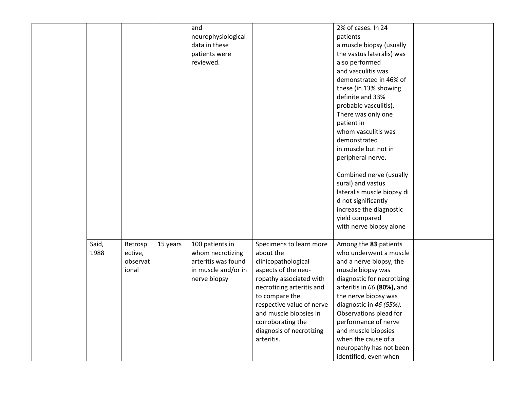|       |          |          | and                 |                           | 2% of cases. In 24                        |  |
|-------|----------|----------|---------------------|---------------------------|-------------------------------------------|--|
|       |          |          | neurophysiological  |                           | patients                                  |  |
|       |          |          | data in these       |                           | a muscle biopsy (usually                  |  |
|       |          |          | patients were       |                           | the vastus lateralis) was                 |  |
|       |          |          | reviewed.           |                           | also performed                            |  |
|       |          |          |                     |                           | and vasculitis was                        |  |
|       |          |          |                     |                           | demonstrated in 46% of                    |  |
|       |          |          |                     |                           |                                           |  |
|       |          |          |                     |                           | these (in 13% showing<br>definite and 33% |  |
|       |          |          |                     |                           |                                           |  |
|       |          |          |                     |                           | probable vasculitis).                     |  |
|       |          |          |                     |                           | There was only one                        |  |
|       |          |          |                     |                           | patient in                                |  |
|       |          |          |                     |                           | whom vasculitis was                       |  |
|       |          |          |                     |                           | demonstrated                              |  |
|       |          |          |                     |                           | in muscle but not in                      |  |
|       |          |          |                     |                           | peripheral nerve.                         |  |
|       |          |          |                     |                           | Combined nerve (usually                   |  |
|       |          |          |                     |                           | sural) and vastus                         |  |
|       |          |          |                     |                           | lateralis muscle biopsy di                |  |
|       |          |          |                     |                           | d not significantly                       |  |
|       |          |          |                     |                           | increase the diagnostic                   |  |
|       |          |          |                     |                           | yield compared                            |  |
|       |          |          |                     |                           | with nerve biopsy alone                   |  |
|       |          |          |                     |                           |                                           |  |
| Said, | Retrosp  | 15 years | 100 patients in     | Specimens to learn more   | Among the 83 patients                     |  |
| 1988  | ective,  |          | whom necrotizing    | about the                 | who underwent a muscle                    |  |
|       | observat |          | arteritis was found | clinicopathological       | and a nerve biopsy, the                   |  |
|       | ional    |          | in muscle and/or in | aspects of the neu-       | muscle biopsy was                         |  |
|       |          |          | nerve biopsy        | ropathy associated with   | diagnostic for necrotizing                |  |
|       |          |          |                     | necrotizing arteritis and | arteritis in 66 (80%), and                |  |
|       |          |          |                     | to compare the            | the nerve biopsy was                      |  |
|       |          |          |                     | respective value of nerve | diagnostic in 46 (55%).                   |  |
|       |          |          |                     | and muscle biopsies in    | Observations plead for                    |  |
|       |          |          |                     | corroborating the         | performance of nerve                      |  |
|       |          |          |                     | diagnosis of necrotizing  | and muscle biopsies                       |  |
|       |          |          |                     | arteritis.                | when the cause of a                       |  |
|       |          |          |                     |                           | neuropathy has not been                   |  |
|       |          |          |                     |                           | identified, even when                     |  |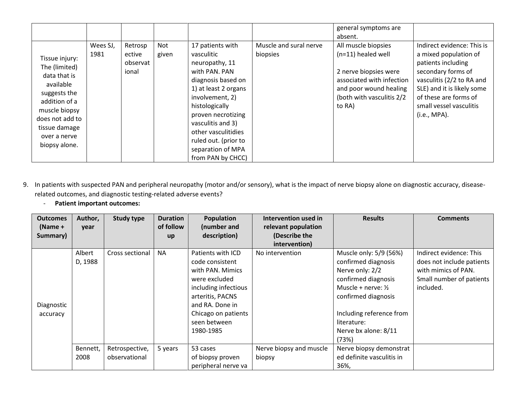|                                                                                                                                                                                     |                  |                                        |              |                                                                                                                                                                                                                                                                                          |                                    | general symptoms are<br>absent.                                                                                                                                     |                                                                                                                                                                                                                                |
|-------------------------------------------------------------------------------------------------------------------------------------------------------------------------------------|------------------|----------------------------------------|--------------|------------------------------------------------------------------------------------------------------------------------------------------------------------------------------------------------------------------------------------------------------------------------------------------|------------------------------------|---------------------------------------------------------------------------------------------------------------------------------------------------------------------|--------------------------------------------------------------------------------------------------------------------------------------------------------------------------------------------------------------------------------|
| Tissue injury:<br>The (limited)<br>data that is<br>available<br>suggests the<br>addition of a<br>muscle biopsy<br>does not add to<br>tissue damage<br>over a nerve<br>biopsy alone. | Wees SJ,<br>1981 | Retrosp<br>ective<br>observat<br>ional | Not<br>given | 17 patients with<br>vasculitic<br>neuropathy, 11<br>with PAN. PAN<br>diagnosis based on<br>1) at least 2 organs<br>involvement, 2)<br>histologically<br>proven necrotizing<br>vasculitis and 3)<br>other vasculitidies<br>ruled out. (prior to<br>separation of MPA<br>from PAN by CHCC) | Muscle and sural nerve<br>biopsies | All muscle biopsies<br>$(n=11)$ healed well<br>2 nerve biopsies were<br>associated with infection<br>and poor wound healing<br>(both with vasculitis 2/2)<br>to RA) | Indirect evidence: This is<br>a mixed population of<br>patients including<br>secondary forms of<br>vasculitis (2/2 to RA and<br>SLE) and it is likely some<br>of these are forms of<br>small vessel vasculitis<br>(i.e., MPA). |

- 9. In patients with suspected PAN and peripheral neuropathy (motor and/or sensory), what is the impact of nerve biopsy alone on diagnostic accuracy, diseaserelated outcomes, and diagnostic testing-related adverse events?
	- **Patient important outcomes:**

| <b>Outcomes</b> | Author,  | <b>Study type</b> | <b>Duration</b> | Population           | Intervention used in    | <b>Results</b>                | <b>Comments</b>           |
|-----------------|----------|-------------------|-----------------|----------------------|-------------------------|-------------------------------|---------------------------|
| (Name +         | year     |                   | of follow       | (number and          | relevant population     |                               |                           |
| Summary)        |          |                   | <b>up</b>       | description)         | (Describe the           |                               |                           |
|                 |          |                   |                 |                      | intervention)           |                               |                           |
|                 | Albert   | Cross sectional   | <b>NA</b>       | Patients with ICD    | No intervention         | Muscle only: 5/9 (56%)        | Indirect evidence: This   |
|                 | D, 1988  |                   |                 | code consistent      |                         | confirmed diagnosis           | does not include patients |
|                 |          |                   |                 | with PAN. Mimics     |                         | Nerve only: 2/2               | with mimics of PAN.       |
|                 |          |                   |                 | were excluded        |                         | confirmed diagnosis           | Small number of patients  |
|                 |          |                   |                 | including infectious |                         | Muscle + nerve: $\frac{1}{2}$ | included.                 |
|                 |          |                   |                 | arteritis, PACNS     |                         | confirmed diagnosis           |                           |
| Diagnostic      |          |                   |                 | and RA. Done in      |                         |                               |                           |
| accuracy        |          |                   |                 | Chicago on patients  |                         | Including reference from      |                           |
|                 |          |                   |                 | seen between         |                         | literature:                   |                           |
|                 |          |                   |                 | 1980-1985            |                         | Nerve bx alone: 8/11          |                           |
|                 |          |                   |                 |                      |                         | (73%)                         |                           |
|                 | Bennett, | Retrospective,    | 5 years         | 53 cases             | Nerve biopsy and muscle | Nerve biopsy demonstrat       |                           |
|                 | 2008     | observational     |                 | of biopsy proven     | biopsy                  | ed definite vasculitis in     |                           |
|                 |          |                   |                 | peripheral nerve va  |                         | 36%,                          |                           |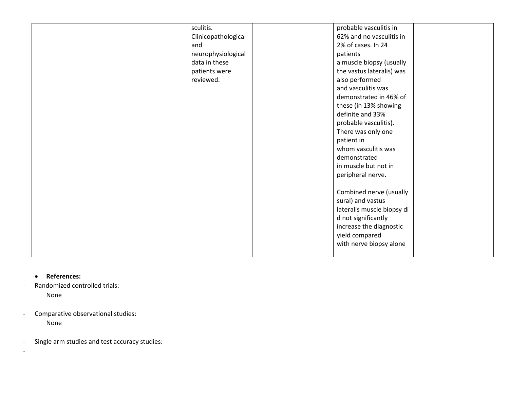|  | sculitis.<br>Clinicopathological<br>and<br>neurophysiological<br>data in these<br>patients were<br>reviewed. | probable vasculitis in<br>62% and no vasculitis in<br>2% of cases. In 24<br>patients<br>a muscle biopsy (usually<br>the vastus lateralis) was<br>also performed<br>and vasculitis was                                                                                                                                                          |  |
|--|--------------------------------------------------------------------------------------------------------------|------------------------------------------------------------------------------------------------------------------------------------------------------------------------------------------------------------------------------------------------------------------------------------------------------------------------------------------------|--|
|  |                                                                                                              | definite and 33%<br>probable vasculitis).<br>There was only one<br>patient in<br>whom vasculitis was<br>demonstrated<br>in muscle but not in<br>peripheral nerve.<br>Combined nerve (usually<br>sural) and vastus<br>lateralis muscle biopsy di<br>d not significantly<br>increase the diagnostic<br>yield compared<br>with nerve biopsy alone |  |

• **References:**

-

- Randomized controlled trials: None
- Comparative observational studies: None
- Single arm studies and test accuracy studies: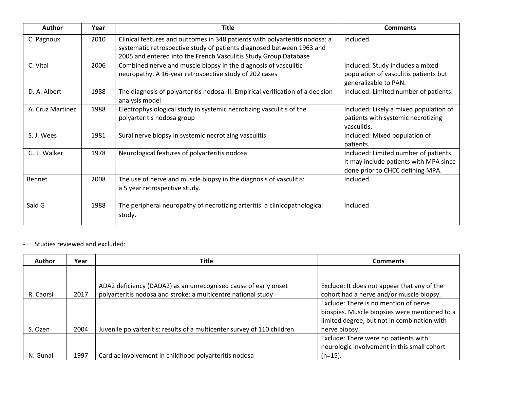| Author           | Year | <b>Title</b>                                                                                                                                                                                                             | <b>Comments</b>                                                                                                     |
|------------------|------|--------------------------------------------------------------------------------------------------------------------------------------------------------------------------------------------------------------------------|---------------------------------------------------------------------------------------------------------------------|
| C. Pagnoux       | 2010 | Clinical features and outcomes in 348 patients with polyarteritis nodosa: a<br>systematic retrospective study of patients diagnosed between 1963 and<br>2005 and entered into the French Vasculitis Study Group Database | Included.                                                                                                           |
| C. Vital         | 2006 | Combined nerve and muscle biopsy in the diagnosis of vasculitic<br>neuropathy. A 16-year retrospective study of 202 cases                                                                                                | Included: Study includes a mixed<br>population of vasculitis patients but<br>generalizable to PAN.                  |
| D. A. Albert     | 1988 | The diagnosis of polyarteritis nodosa. II. Empirical verification of a decision<br>analysis model                                                                                                                        | Included: Limited number of patients.                                                                               |
| A. Cruz Martinez | 1988 | Electrophysiological study in systemic necrotizing vasculitis of the<br>polyarteritis nodosa group                                                                                                                       | Included: Likely a mixed population of<br>patients with systemic necrotizing<br>vasculitis.                         |
| S. J. Wees       | 1981 | Sural nerve biopsy in systemic necrotizing vasculitis                                                                                                                                                                    | Included: Mixed population of<br>patients.                                                                          |
| G. L. Walker     | 1978 | Neurological features of polyarteritis nodosa                                                                                                                                                                            | Included: Limited number of patients.<br>It may include patients with MPA since<br>done prior to CHCC defining MPA. |
| Bennet           | 2008 | The use of nerve and muscle biopsy in the diagnosis of vasculitis:<br>a 5 year retrospective study.                                                                                                                      | Included.                                                                                                           |
| Said G           | 1988 | The peripheral neuropathy of necrotizing arteritis: a clinicopathological<br>study.                                                                                                                                      | Included                                                                                                            |

- Studies reviewed and excluded:

| <b>Author</b> | Year | <b>Title</b>                                                            | <b>Comments</b>                               |
|---------------|------|-------------------------------------------------------------------------|-----------------------------------------------|
|               |      |                                                                         |                                               |
|               |      | ADA2 deficiency (DADA2) as an unrecognised cause of early onset         | Exclude: It does not appear that any of the   |
| R. Caorsi     | 2017 | polyarteritis nodosa and stroke: a multicentre national study           | cohort had a nerve and/or muscle biopsy.      |
|               |      |                                                                         | Exclude: There is no mention of nerve         |
|               |      |                                                                         | biospies. Muscle biopsies were mentioned to a |
|               |      |                                                                         | limited degree, but not in combination with   |
| S. Ozen       | 2004 | Juvenile polyarteritis: results of a multicenter survey of 110 children | nerve biopsy.                                 |
|               |      |                                                                         | Exclude: There were no patients with          |
|               |      |                                                                         | neurologic involvement in this small cohort   |
| N. Gunal      | 1997 | Cardiac involvement in childhood polyarteritis nodosa                   | $(n=15)$ .                                    |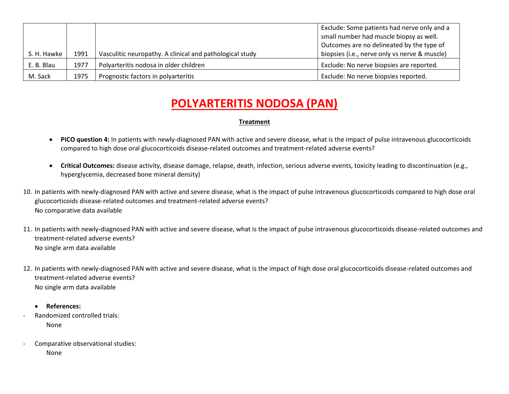|             |      |                                                          | Exclude: Some patients had nerve only and a   |
|-------------|------|----------------------------------------------------------|-----------------------------------------------|
|             |      |                                                          | small number had muscle biopsy as well.       |
|             |      |                                                          | Outcomes are no delineated by the type of     |
| S. H. Hawke | 1991 | Vasculitic neuropathy. A clinical and pathological study | biopsies (i.e., nerve only vs nerve & muscle) |
| E. B. Blau  | 1977 | Polyarteritis nodosa in older children                   | Exclude: No nerve biopsies are reported.      |
| M. Sack     | 1975 | Prognostic factors in polyarteritis                      | Exclude: No nerve biopsies reported.          |

- **PICO question 4:** In patients with newly-diagnosed PAN with active and severe disease, what is the impact of pulse intravenous glucocorticoids compared to high dose oral glucocorticoids disease-related outcomes and treatment-related adverse events?
- **Critical Outcomes:** disease activity, disease damage, relapse, death, infection, serious adverse events, toxicity leading to discontinuation (e.g., hyperglycemia, decreased bone mineral density)
- 10. In patients with newly-diagnosed PAN with active and severe disease, what is the impact of pulse intravenous glucocorticoids compared to high dose oral glucocorticoids disease-related outcomes and treatment-related adverse events? No comparative data available
- 11. In patients with newly-diagnosed PAN with active and severe disease, what is the impact of pulse intravenous glucocorticoids disease-related outcomes and treatment-related adverse events? No single arm data available
- 12. In patients with newly-diagnosed PAN with active and severe disease, what is the impact of high dose oral glucocorticoids disease-related outcomes and treatment-related adverse events? No single arm data available
	- **References:**
- Randomized controlled trials: None
- Comparative observational studies: None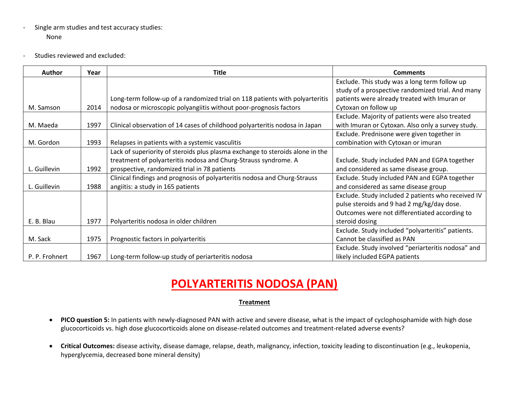- Single arm studies and test accuracy studies: None
- Studies reviewed and excluded:

| <b>Author</b>  | Year | <b>Title</b>                                                                  | <b>Comments</b>                                    |
|----------------|------|-------------------------------------------------------------------------------|----------------------------------------------------|
|                |      |                                                                               | Exclude. This study was a long term follow up      |
|                |      |                                                                               | study of a prospective randomized trial. And many  |
|                |      | Long-term follow-up of a randomized trial on 118 patients with polyarteritis  | patients were already treated with Imuran or       |
| M. Samson      | 2014 | nodosa or microscopic polyangiitis without poor-prognosis factors             | Cytoxan on follow up                               |
|                |      |                                                                               | Exclude. Majority of patients were also treated    |
| M. Maeda       | 1997 | Clinical observation of 14 cases of childhood polyarteritis nodosa in Japan   | with Imuran or Cytoxan. Also only a survey study.  |
|                |      |                                                                               | Exclude. Prednisone were given together in         |
| M. Gordon      | 1993 | Relapses in patients with a systemic vasculitis                               | combination with Cytoxan or imuran                 |
|                |      | Lack of superiority of steroids plus plasma exchange to steroids alone in the |                                                    |
|                |      | treatment of polyarteritis nodosa and Churg-Strauss syndrome. A               | Exclude. Study included PAN and EGPA together      |
| L. Guillevin   | 1992 | prospective, randomized trial in 78 patients                                  | and considered as same disease group.              |
|                |      | Clinical findings and prognosis of polyarteritis nodosa and Churg-Strauss     | Exclude. Study included PAN and EGPA together      |
| L. Guillevin   | 1988 | angiitis: a study in 165 patients                                             | and considered as same disease group               |
|                |      |                                                                               | Exclude. Study included 2 patients who received IV |
|                |      |                                                                               | pulse steroids and 9 had 2 mg/kg/day dose.         |
|                |      |                                                                               | Outcomes were not differentiated according to      |
| E. B. Blau     | 1977 | Polyarteritis nodosa in older children                                        | steroid dosing                                     |
|                |      |                                                                               | Exclude. Study included "polyarteritis" patients.  |
| M. Sack        | 1975 | Prognostic factors in polyarteritis                                           | Cannot be classified as PAN                        |
|                |      |                                                                               | Exclude. Study involved "periarteritis nodosa" and |
| P. P. Frohnert | 1967 | Long-term follow-up study of periarteritis nodosa                             | likely included EGPA patients                      |

- **PICO question 5:** In patients with newly-diagnosed PAN with active and severe disease, what is the impact of cyclophosphamide with high dose glucocorticoids vs. high dose glucocorticoids alone on disease-related outcomes and treatment-related adverse events?
- **Critical Outcomes:** disease activity, disease damage, relapse, death, malignancy, infection, toxicity leading to discontinuation (e.g., leukopenia, hyperglycemia, decreased bone mineral density)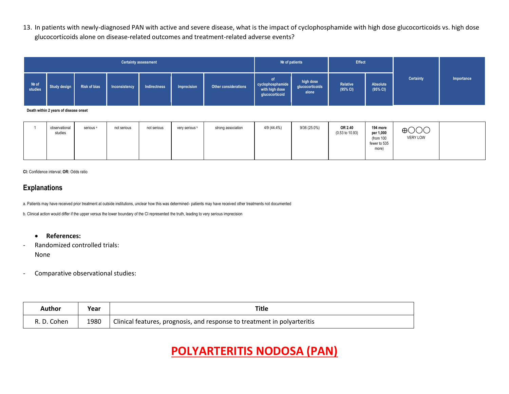13. In patients with newly-diagnosed PAN with active and severe disease, what is the impact of cyclophosphamide with high dose glucocorticoids vs. high dose glucocorticoids alone on disease-related outcomes and treatment-related adverse events?

| <b>Certainty assessment</b> |              |                     |               |              |             |                      | Nº of patients                                              | <b>Effect</b>                         |                      |                      |           |            |
|-----------------------------|--------------|---------------------|---------------|--------------|-------------|----------------------|-------------------------------------------------------------|---------------------------------------|----------------------|----------------------|-----------|------------|
| Nº of<br>studies            | Study design | <b>Risk of bias</b> | Inconsistency | Indirectness | Imprecision | Other considerations | of.<br>cyclophosphamide<br>with high dose<br>glucocorticoid | high dose<br>glucocorticoids<br>alone | Relative<br>(95% CI) | Absolute<br>(95% CI) | Certainty | Importance |

**Death within 2 years of disease onset**

|  | observational<br>studies | serious <sup>a</sup> | not serious | not serious | very serious b | strong association | 4/9 (44.4%) | 9/36 (25.0%) | OR 2.40<br>(0.53 to 10.93) | 194 more<br>per 1,000<br>(from 100<br>fewer to 535<br>more) | $\bigoplus$ $\bigodot$ $\bigodot$<br>VERY LOW |  |
|--|--------------------------|----------------------|-------------|-------------|----------------|--------------------|-------------|--------------|----------------------------|-------------------------------------------------------------|-----------------------------------------------|--|
|  |                          |                      |             |             |                |                    |             |              |                            |                                                             |                                               |  |

**CI:** Confidence interval; **OR:** Odds ratio

## **Explanations**

a. Patients may have received prior treatment at outside institutions, unclear how this was determined- patients may have received other treatments not documented

b. Clinical action would differ if the upper versus the lower boundary of the CI represented the truth, leading to very serious imprecision

- **References:**
- Randomized controlled trials: None
- Comparative observational studies:

| Author      | Year | Title                                                                    |
|-------------|------|--------------------------------------------------------------------------|
| R. D. Cohen | 1980 | Clinical features, prognosis, and response to treatment in polyarteritis |

# **POLYARTERITIS NODOSA (PAN)**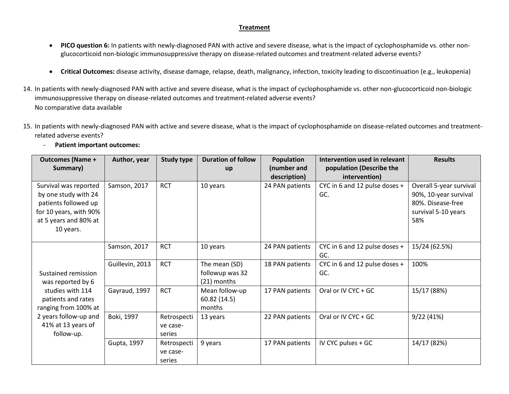- **PICO question 6:** In patients with newly-diagnosed PAN with active and severe disease, what is the impact of cyclophosphamide vs. other nonglucocorticoid non-biologic immunosuppressive therapy on disease-related outcomes and treatment-related adverse events?
- **Critical Outcomes:** disease activity, disease damage, relapse, death, malignancy, infection, toxicity leading to discontinuation (e.g., leukopenia)
- 14. In patients with newly-diagnosed PAN with active and severe disease, what is the impact of cyclophosphamide vs. other non-glucocorticoid non-biologic immunosuppressive therapy on disease-related outcomes and treatment-related adverse events? No comparative data available
- 15. In patients with newly-diagnosed PAN with active and severe disease, what is the impact of cyclophosphamide on disease-related outcomes and treatmentrelated adverse events?
	- **Patient important outcomes:**

| <b>Outcomes (Name +</b>                                                                                                               | Author, year    | <b>Study type</b>                 | <b>Duration of follow</b>                       | <b>Population</b> | <b>Intervention used in relevant</b> | <b>Results</b>                                                                                      |
|---------------------------------------------------------------------------------------------------------------------------------------|-----------------|-----------------------------------|-------------------------------------------------|-------------------|--------------------------------------|-----------------------------------------------------------------------------------------------------|
| Summary)                                                                                                                              |                 |                                   | up                                              | (number and       | population (Describe the             |                                                                                                     |
|                                                                                                                                       |                 |                                   |                                                 | description)      | intervention)                        |                                                                                                     |
| Survival was reported<br>by one study with 24<br>patients followed up<br>for 10 years, with 90%<br>at 5 years and 80% at<br>10 years. | Samson, 2017    | <b>RCT</b>                        | 10 years                                        | 24 PAN patients   | CYC in 6 and 12 pulse doses +<br>GC. | Overall 5-year survival<br>90%, 10-year survival<br>80%. Disease-free<br>survival 5-10 years<br>58% |
|                                                                                                                                       | Samson, 2017    | <b>RCT</b>                        | 10 years                                        | 24 PAN patients   | CYC in 6 and 12 pulse doses +<br>GC. | 15/24 (62.5%)                                                                                       |
| Sustained remission<br>was reported by 6                                                                                              | Guillevin, 2013 | <b>RCT</b>                        | The mean (SD)<br>followup was 32<br>(21) months | 18 PAN patients   | CYC in 6 and 12 pulse doses +<br>GC. | 100%                                                                                                |
| studies with 114<br>patients and rates<br>ranging from 100% at                                                                        | Gayraud, 1997   | <b>RCT</b>                        | Mean follow-up<br>60.82 (14.5)<br>months        | 17 PAN patients   | Oral or IV CYC + GC                  | 15/17 (88%)                                                                                         |
| 2 years follow-up and<br>41% at 13 years of<br>follow-up.                                                                             | Boki, 1997      | Retrospecti<br>ve case-<br>series | 13 years                                        | 22 PAN patients   | Oral or IV CYC + GC                  | 9/22(41%)                                                                                           |
|                                                                                                                                       | Gupta, 1997     | Retrospecti<br>ve case-<br>series | 9 years                                         | 17 PAN patients   | IV CYC pulses + GC                   | 14/17 (82%)                                                                                         |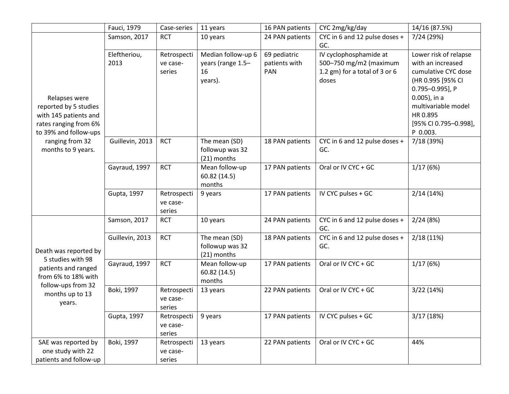|                                                                                                                   | Fauci, 1979          | Case-series                       | 11 years                                                 | 16 PAN patients                      | CYC 2mg/kg/day                                                                             | 14/16 (87.5%)                                                                                                                                                                                        |
|-------------------------------------------------------------------------------------------------------------------|----------------------|-----------------------------------|----------------------------------------------------------|--------------------------------------|--------------------------------------------------------------------------------------------|------------------------------------------------------------------------------------------------------------------------------------------------------------------------------------------------------|
|                                                                                                                   | Samson, 2017         | <b>RCT</b>                        | 10 years                                                 | 24 PAN patients                      | CYC in 6 and 12 pulse doses +<br>GC.                                                       | 7/24 (29%)                                                                                                                                                                                           |
| Relapses were<br>reported by 5 studies<br>with 145 patients and<br>rates ranging from 6%<br>to 39% and follow-ups | Eleftheriou,<br>2013 | Retrospecti<br>ve case-<br>series | Median follow-up 6<br>years (range 1.5-<br>16<br>years). | 69 pediatric<br>patients with<br>PAN | IV cyclophosphamide at<br>500-750 mg/m2 (maximum<br>1.2 gm) for a total of 3 or 6<br>doses | Lower risk of relapse<br>with an increased<br>cumulative CYC dose<br>(HR 0.995 [95% CI<br>0.795-0.995], P<br>$0.005$ ), in a<br>multivariable model<br>HR 0.895<br>[95% CI 0.795-0.998],<br>P 0.003. |
| ranging from 32<br>months to 9 years.                                                                             | Guillevin, 2013      | <b>RCT</b>                        | The mean (SD)<br>followup was 32<br>(21) months          | 18 PAN patients                      | CYC in 6 and 12 pulse doses +<br>GC.                                                       | 7/18 (39%)                                                                                                                                                                                           |
|                                                                                                                   | Gayraud, 1997        | <b>RCT</b>                        | Mean follow-up<br>60.82 (14.5)<br>months                 | 17 PAN patients                      | Oral or IV CYC + GC                                                                        | 1/17(6%)                                                                                                                                                                                             |
|                                                                                                                   | Gupta, 1997          | Retrospecti<br>ve case-<br>series | 9 years                                                  | 17 PAN patients                      | IV CYC pulses + GC                                                                         | 2/14(14%)                                                                                                                                                                                            |
|                                                                                                                   | Samson, 2017         | <b>RCT</b>                        | 10 years                                                 | 24 PAN patients                      | CYC in 6 and 12 pulse doses +<br>GC.                                                       | 2/24(8%)                                                                                                                                                                                             |
| Death was reported by                                                                                             | Guillevin, 2013      | <b>RCT</b>                        | The mean (SD)<br>followup was 32<br>(21) months          | 18 PAN patients                      | CYC in 6 and 12 pulse doses +<br>GC.                                                       | 2/18(11%)                                                                                                                                                                                            |
| 5 studies with 98<br>patients and ranged<br>from 6% to 18% with                                                   | Gayraud, 1997        | <b>RCT</b>                        | Mean follow-up<br>60.82 (14.5)<br>months                 | 17 PAN patients                      | Oral or IV CYC + GC                                                                        | 1/17(6%)                                                                                                                                                                                             |
| follow-ups from 32<br>months up to 13<br>years.                                                                   | Boki, 1997           | Retrospecti<br>ve case-<br>series | 13 years                                                 | 22 PAN patients                      | Oral or IV CYC + GC                                                                        | 3/22(14%)                                                                                                                                                                                            |
|                                                                                                                   | Gupta, 1997          | Retrospecti<br>ve case-<br>series | 9 years                                                  | 17 PAN patients                      | IV CYC pulses + GC                                                                         | 3/17(18%)                                                                                                                                                                                            |
| SAE was reported by<br>one study with 22<br>patients and follow-up                                                | Boki, 1997           | Retrospecti<br>ve case-<br>series | 13 years                                                 | 22 PAN patients                      | Oral or IV CYC + GC                                                                        | 44%                                                                                                                                                                                                  |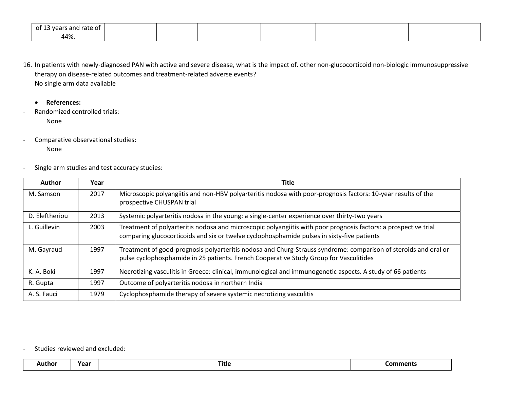| ot<br>s and rate of<br>wears. |  |  |  |
|-------------------------------|--|--|--|
| 44%.                          |  |  |  |

- 16. In patients with newly-diagnosed PAN with active and severe disease, what is the impact of. other non-glucocorticoid non-biologic immunosuppressive therapy on disease-related outcomes and treatment-related adverse events? No single arm data available
	- **References:**
- Randomized controlled trials: None
- Comparative observational studies:

None

- Single arm studies and test accuracy studies:

| <b>Author</b>  | Year | <b>Title</b>                                                                                                                                                                                                  |
|----------------|------|---------------------------------------------------------------------------------------------------------------------------------------------------------------------------------------------------------------|
| M. Samson      | 2017 | Microscopic polyangiitis and non-HBV polyarteritis nodosa with poor-prognosis factors: 10-year results of the<br>prospective CHUSPAN trial                                                                    |
| D. Eleftheriou | 2013 | Systemic polyarteritis nodosa in the young: a single-center experience over thirty-two years                                                                                                                  |
| L. Guillevin   | 2003 | Treatment of polyarteritis nodosa and microscopic polyangiitis with poor prognosis factors: a prospective trial<br>comparing glucocorticoids and six or twelve cyclophosphamide pulses in sixty-five patients |
| M. Gayraud     | 1997 | Treatment of good-prognosis polyarteritis nodosa and Churg-Strauss syndrome: comparison of steroids and oral or<br>pulse cyclophosphamide in 25 patients. French Cooperative Study Group for Vasculitides     |
| K. A. Boki     | 1997 | Necrotizing vasculitis in Greece: clinical, immunological and immunogenetic aspects. A study of 66 patients                                                                                                   |
| R. Gupta       | 1997 | Outcome of polyarteritis nodosa in northern India                                                                                                                                                             |
| A. S. Fauci    | 1979 | Cyclophosphamide therapy of severe systemic necrotizing vasculitis                                                                                                                                            |

### - Studies reviewed and excluded:

| noı | ca, | Title | –11L. |
|-----|-----|-------|-------|
|     |     |       |       |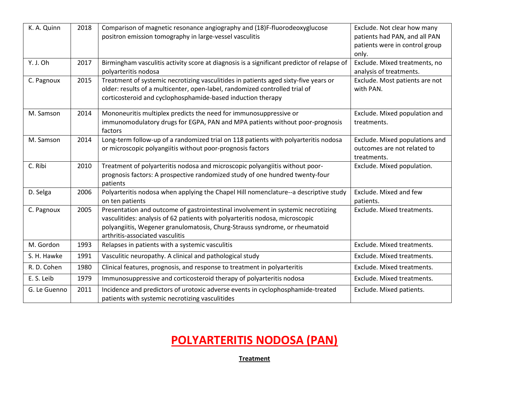| K. A. Quinn  | 2018 | Comparison of magnetic resonance angiography and (18)F-fluorodeoxyglucose<br>positron emission tomography in large-vessel vasculitis                                                                                                                                               | Exclude. Not clear how many<br>patients had PAN, and all PAN<br>patients were in control group<br>only. |
|--------------|------|------------------------------------------------------------------------------------------------------------------------------------------------------------------------------------------------------------------------------------------------------------------------------------|---------------------------------------------------------------------------------------------------------|
| Y. J. Oh     | 2017 | Birmingham vasculitis activity score at diagnosis is a significant predictor of relapse of<br>polyarteritis nodosa                                                                                                                                                                 | Exclude. Mixed treatments, no<br>analysis of treatments.                                                |
| C. Pagnoux   | 2015 | Treatment of systemic necrotizing vasculitides in patients aged sixty-five years or<br>older: results of a multicenter, open-label, randomized controlled trial of<br>corticosteroid and cyclophosphamide-based induction therapy                                                  | Exclude. Most patients are not<br>with PAN.                                                             |
| M. Samson    | 2014 | Mononeuritis multiplex predicts the need for immunosuppressive or<br>immunomodulatory drugs for EGPA, PAN and MPA patients without poor-prognosis<br>factors                                                                                                                       | Exclude. Mixed population and<br>treatments.                                                            |
| M. Samson    | 2014 | Long-term follow-up of a randomized trial on 118 patients with polyarteritis nodosa<br>or microscopic polyangiitis without poor-prognosis factors                                                                                                                                  | Exclude. Mixed populations and<br>outcomes are not related to<br>treatments.                            |
| C. Ribi      | 2010 | Treatment of polyarteritis nodosa and microscopic polyangiitis without poor-<br>prognosis factors: A prospective randomized study of one hundred twenty-four<br>patients                                                                                                           | Exclude. Mixed population.                                                                              |
| D. Selga     | 2006 | Polyarteritis nodosa when applying the Chapel Hill nomenclature--a descriptive study<br>on ten patients                                                                                                                                                                            | Exclude. Mixed and few<br>patients.                                                                     |
| C. Pagnoux   | 2005 | Presentation and outcome of gastrointestinal involvement in systemic necrotizing<br>vasculitides: analysis of 62 patients with polyarteritis nodosa, microscopic<br>polyangiitis, Wegener granulomatosis, Churg-Strauss syndrome, or rheumatoid<br>arthritis-associated vasculitis | Exclude. Mixed treatments.                                                                              |
| M. Gordon    | 1993 | Relapses in patients with a systemic vasculitis                                                                                                                                                                                                                                    | Exclude. Mixed treatments.                                                                              |
| S. H. Hawke  | 1991 | Vasculitic neuropathy. A clinical and pathological study                                                                                                                                                                                                                           | Exclude. Mixed treatments.                                                                              |
| R. D. Cohen  | 1980 | Clinical features, prognosis, and response to treatment in polyarteritis                                                                                                                                                                                                           | Exclude. Mixed treatments.                                                                              |
| E. S. Leib   | 1979 | Immunosuppressive and corticosteroid therapy of polyarteritis nodosa                                                                                                                                                                                                               | Exclude. Mixed treatments.                                                                              |
| G. Le Guenno | 2011 | Incidence and predictors of urotoxic adverse events in cyclophosphamide-treated<br>patients with systemic necrotizing vasculitides                                                                                                                                                 | Exclude. Mixed patients.                                                                                |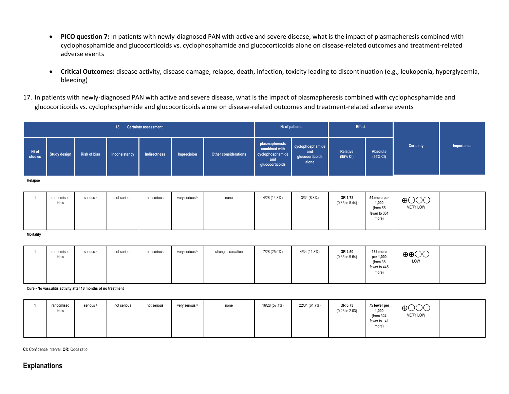- **PICO question 7:** In patients with newly-diagnosed PAN with active and severe disease, what is the impact of plasmapheresis combined with cyclophosphamide and glucocorticoids vs. cyclophosphamide and glucocorticoids alone on disease-related outcomes and treatment-related adverse events
- **Critical Outcomes:** disease activity, disease damage, relapse, death, infection, toxicity leading to discontinuation (e.g., leukopenia, hyperglycemia, bleeding)
- 17. In patients with newly-diagnosed PAN with active and severe disease, what is the impact of plasmapheresis combined with cyclophosphamide and glucocorticoids vs. cyclophosphamide and glucocorticoids alone on disease-related outcomes and treatment-related adverse events

|                  | <b>Certainty assessment</b><br>18. |                      |               |              |                |                             |                                                                               | Nº of patients                                      |                                      | Effect                                                    |                                    |            |
|------------------|------------------------------------|----------------------|---------------|--------------|----------------|-----------------------------|-------------------------------------------------------------------------------|-----------------------------------------------------|--------------------------------------|-----------------------------------------------------------|------------------------------------|------------|
| Nº of<br>studies | <b>Study design</b>                | <b>Risk of bias</b>  | Inconsistency | Indirectness | Imprecision    | <b>Other considerations</b> | plasmapheresis<br>combined with<br>cyclophosphamide<br>and<br>glucocorticoids | cyclophosphamide<br>and<br>glucocorticoids<br>alone | Relative<br>(95% CI)                 | Absolute<br>(95% CI)                                      | Certainty                          | Importance |
| Relapse          |                                    |                      |               |              |                |                             |                                                                               |                                                     |                                      |                                                           |                                    |            |
|                  | randomised<br>trials               | serious <sup>a</sup> | not serious   | not serious  | very serious b | none                        | 4/28 (14.3%)                                                                  | 3/34(8.8%)                                          | OR 1.72<br>$(0.35 \text{ to } 8.44)$ | 54 more per<br>1,000<br>(from 55<br>fewer to 361<br>more) | $\bigoplus$ OOO<br><b>VERY LOW</b> |            |

**Mortality**

| randomised<br>trials | serious <sup>a</sup> | not serious | not serious | very serious b | strong association | 7/28 (25.0%) | 4/34 (11.8%) | OR 2.50<br>$(0.65 \text{ to } 9.64)$ | 132 more<br>per 1,000<br>(from 38<br>fewer to 445<br>more) | $\oplus$ $\oplus$<br>LOW |  |
|----------------------|----------------------|-------------|-------------|----------------|--------------------|--------------|--------------|--------------------------------------|------------------------------------------------------------|--------------------------|--|
|                      |                      |             |             |                |                    |              |              |                                      |                                                            |                          |  |

**Cure - No vasculitis activity after 18 months of no treatment**

**CI:** Confidence interval; **OR:** Odds ratio

## **Explanations**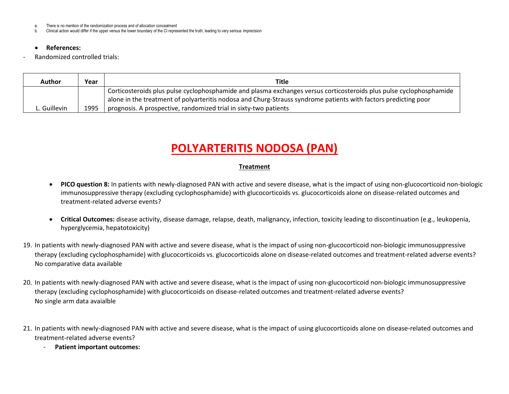a. There is no mention of the randomization process and of allocation concealment

b. Clinical action would differ if the upper versus the lower boundary of the CI represented the truth, leading to very serious imprecision

#### • **References:**

Randomized controlled trials:

| Author       | Year | Title                                                                                                               |
|--------------|------|---------------------------------------------------------------------------------------------------------------------|
|              |      | Corticosteroids plus pulse cyclophosphamide and plasma exchanges versus corticosteroids plus pulse cyclophosphamide |
|              |      | alone in the treatment of polyarteritis nodosa and Churg-Strauss syndrome patients with factors predicting poor     |
| L. Guillevin | 1995 | prognosis. A prospective, randomized trial in sixty-two patients                                                    |

## **POLYARTERITIS NODOSA (PAN)**

- **PICO question 8:** In patients with newly-diagnosed PAN with active and severe disease, what is the impact of using non-glucocorticoid non-biologic immunosuppressive therapy (excluding cyclophosphamide) with glucocorticoids vs. glucocorticoids alone on disease-related outcomes and treatment-related adverse events?
- **Critical Outcomes:** disease activity, disease damage, relapse, death, malignancy, infection, toxicity leading to discontinuation (e.g., leukopenia, hyperglycemia, hepatotoxicity)
- 19. In patients with newly-diagnosed PAN with active and severe disease, what is the impact of using non-glucocorticoid non-biologic immunosuppressive therapy (excluding cyclophosphamide) with glucocorticoids vs. glucocorticoids alone on disease-related outcomes and treatment-related adverse events? No comparative data available
- 20. In patients with newly-diagnosed PAN with active and severe disease, what is the impact of using non-glucocorticoid non-biologic immunosuppressive therapy (excluding cyclophosphamide) with glucocorticoids on disease-related outcomes and treatment-related adverse events? No single arm data avaialble
- 21. In patients with newly-diagnosed PAN with active and severe disease, what is the impact of using glucocorticoids alone on disease-related outcomes and treatment-related adverse events?
	- **Patient important outcomes:**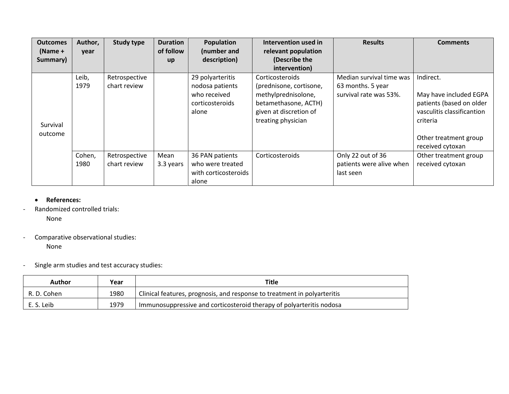| <b>Outcomes</b> | Author, | <b>Study type</b> | <b>Duration</b> | Population           | Intervention used in    | <b>Results</b>           | <b>Comments</b>            |
|-----------------|---------|-------------------|-----------------|----------------------|-------------------------|--------------------------|----------------------------|
| $(Name +$       | year    |                   | of follow       | (number and          | relevant population     |                          |                            |
| Summary)        |         |                   | <b>up</b>       | description)         | (Describe the           |                          |                            |
|                 |         |                   |                 |                      | intervention)           |                          |                            |
|                 | Leib,   | Retrospective     |                 | 29 polyarteritis     | Corticosteroids         | Median survival time was | Indirect.                  |
|                 | 1979    | chart review      |                 | nodosa patients      | (prednisone, cortisone, | 63 months. 5 year        |                            |
|                 |         |                   |                 | who received         | methylprednisolone,     | survival rate was 53%.   | May have included EGPA     |
|                 |         |                   |                 | corticosteroids      | betamethasone, ACTH)    |                          | patients (based on older   |
|                 |         |                   |                 | alone                | given at discretion of  |                          | vasculitis classificantion |
| Survival        |         |                   |                 |                      | treating physician      |                          | criteria                   |
| outcome         |         |                   |                 |                      |                         |                          |                            |
|                 |         |                   |                 |                      |                         |                          | Other treatment group      |
|                 |         |                   |                 |                      |                         |                          | received cytoxan           |
|                 | Cohen,  | Retrospective     | Mean            | 36 PAN patients      | Corticosteroids         | Only 22 out of 36        | Other treatment group      |
|                 | 1980    | chart review      | 3.3 years       | who were treated     |                         | patients were alive when | received cytoxan           |
|                 |         |                   |                 | with corticosteroids |                         | last seen                |                            |
|                 |         |                   |                 | alone                |                         |                          |                            |

## • **References:**

- Randomized controlled trials:

None

- Comparative observational studies:

None

- Single arm studies and test accuracy studies:

| Author      | Year | <b>Title</b>                                                             |
|-------------|------|--------------------------------------------------------------------------|
| R. D. Cohen | 1980 | Clinical features, prognosis, and response to treatment in polyarteritis |
| E. S. Leib  | 1979 | Immunosuppressive and corticosteroid therapy of polyarteritis nodosa     |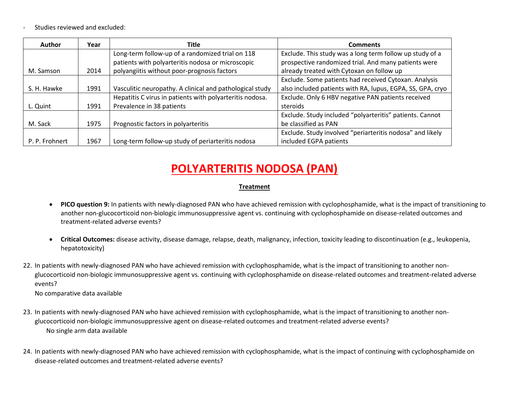- Studies reviewed and excluded:

| <b>Author</b>  | Year | Title                                                    | <b>Comments</b>                                            |
|----------------|------|----------------------------------------------------------|------------------------------------------------------------|
|                |      | Long-term follow-up of a randomized trial on 118         | Exclude. This study was a long term follow up study of a   |
|                |      | patients with polyarteritis nodosa or microscopic        | prospective randomized trial. And many patients were       |
| M. Samson      | 2014 | polyangiitis without poor-prognosis factors              | already treated with Cytoxan on follow up                  |
|                |      |                                                          | Exclude. Some patients had received Cytoxan. Analysis      |
| S. H. Hawke    | 1991 | Vasculitic neuropathy. A clinical and pathological study | also included patients with RA, lupus, EGPA, SS, GPA, cryo |
|                |      | Hepatitis C virus in patients with polyarteritis nodosa. | Exclude. Only 6 HBV negative PAN patients received         |
| L. Quint       | 1991 | Prevalence in 38 patients                                | steroids                                                   |
|                |      |                                                          | Exclude. Study included "polyarteritis" patients. Cannot   |
| M. Sack        | 1975 | Prognostic factors in polyarteritis                      | be classified as PAN                                       |
|                |      |                                                          | Exclude. Study involved "periarteritis nodosa" and likely  |
| P. P. Frohnert | 1967 | Long-term follow-up study of periarteritis nodosa        | included EGPA patients                                     |

# **POLYARTERITIS NODOSA (PAN)**

### **Treatment**

- **PICO question 9:** In patients with newly-diagnosed PAN who have achieved remission with cyclophosphamide, what is the impact of transitioning to another non-glucocorticoid non-biologic immunosuppressive agent vs. continuing with cyclophosphamide on disease-related outcomes and treatment-related adverse events?
- **Critical Outcomes:** disease activity, disease damage, relapse, death, malignancy, infection, toxicity leading to discontinuation (e.g., leukopenia, hepatotoxicity)
- 22. In patients with newly-diagnosed PAN who have achieved remission with cyclophosphamide, what is the impact of transitioning to another nonglucocorticoid non-biologic immunosuppressive agent vs. continuing with cyclophosphamide on disease-related outcomes and treatment-related adverse events?

No comparative data available

- 23. In patients with newly-diagnosed PAN who have achieved remission with cyclophosphamide, what is the impact of transitioning to another nonglucocorticoid non-biologic immunosuppressive agent on disease-related outcomes and treatment-related adverse events? No single arm data available
- 24. In patients with newly-diagnosed PAN who have achieved remission with cyclophosphamide, what is the impact of continuing with cyclophosphamide on disease-related outcomes and treatment-related adverse events?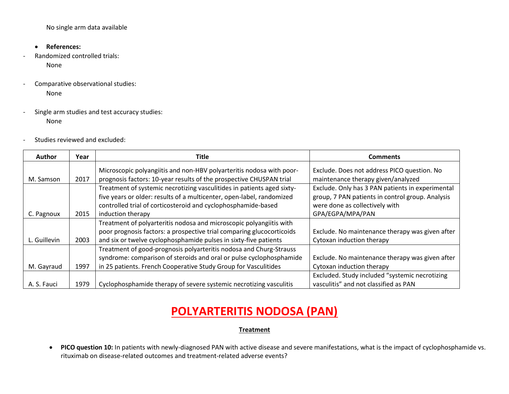No single arm data available

- **References:**
- Randomized controlled trials: None
- Comparative observational studies: None
- Single arm studies and test accuracy studies: None
- Studies reviewed and excluded:

| <b>Author</b> | Year | Title                                                                                                                                                                                                                                 | <b>Comments</b>                                                                                                                                            |
|---------------|------|---------------------------------------------------------------------------------------------------------------------------------------------------------------------------------------------------------------------------------------|------------------------------------------------------------------------------------------------------------------------------------------------------------|
| M. Samson     | 2017 | Microscopic polyangiitis and non-HBV polyarteritis nodosa with poor-<br>prognosis factors: 10-year results of the prospective CHUSPAN trial                                                                                           | Exclude. Does not address PICO question. No<br>maintenance therapy given/analyzed                                                                          |
| C. Pagnoux    | 2015 | Treatment of systemic necrotizing vasculitides in patients aged sixty-<br>five years or older: results of a multicenter, open-label, randomized<br>controlled trial of corticosteroid and cyclophosphamide-based<br>induction therapy | Exclude. Only has 3 PAN patients in experimental<br>group, 7 PAN patients in control group. Analysis<br>were done as collectively with<br>GPA/EGPA/MPA/PAN |
| L. Guillevin  | 2003 | Treatment of polyarteritis nodosa and microscopic polyangiitis with<br>poor prognosis factors: a prospective trial comparing glucocorticoids<br>and six or twelve cyclophosphamide pulses in sixty-five patients                      | Exclude. No maintenance therapy was given after<br>Cytoxan induction therapy                                                                               |
| M. Gayraud    | 1997 | Treatment of good-prognosis polyarteritis nodosa and Churg-Strauss<br>syndrome: comparison of steroids and oral or pulse cyclophosphamide<br>in 25 patients. French Cooperative Study Group for Vasculitides                          | Exclude. No maintenance therapy was given after<br>Cytoxan induction therapy                                                                               |
| A. S. Fauci   | 1979 | Cyclophosphamide therapy of severe systemic necrotizing vasculitis                                                                                                                                                                    | Excluded. Study included "systemic necrotizing<br>vasculitis" and not classified as PAN                                                                    |

# **POLYARTERITIS NODOSA (PAN)**

#### **Treatment**

• **PICO question 10:** In patients with newly-diagnosed PAN with active disease and severe manifestations, what is the impact of cyclophosphamide vs. rituximab on disease-related outcomes and treatment-related adverse events?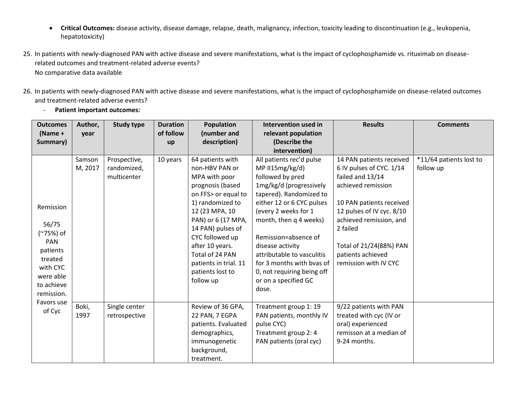- **Critical Outcomes:** disease activity, disease damage, relapse, death, malignancy, infection, toxicity leading to discontinuation (e.g., leukopenia, hepatotoxicity)
- 25. In patients with newly-diagnosed PAN with active disease and severe manifestations, what is the impact of cyclophosphamide vs. rituximab on diseaserelated outcomes and treatment-related adverse events? No comparative data available
- 26. In patients with newly-diagnosed PAN with active disease and severe manifestations, what is the impact of cyclophosphamide on disease-related outcomes and treatment-related adverse events?
	- **Outcomes (Name + Summary) Author, year Study type Duration of follow up Population (number and description) Intervention used in relevant population (Describe the intervention) Results Comments** Remission 56/75 (~75%) of PAN patients treated with CYC were able to achieve remission. Favors use of Cyc Samson M, 2017 Prospective, randomized, multicenter 10 years  $\vert$  64 patients with non-HBV PAN or MPA with poor prognosis (based on FFS> or equal to 1) randomized to 12 (23 MPA, 10 PAN) or 6 (17 MPA, 14 PAN) pulses of CYC followed up after 10 years. Total of 24 PAN patients in trial. 11 patients lost to follow up All patients rec'd pulse MP II15mg/kg/d) followed by pred 1mg/kg/d (progressively tapered). Randomized to either 12 or 6 CYC pulses (every 2 weeks for 1 month, then q 4 weeks) Remission=absence of disease activity attributable to vasculitis for 3 months with bvas of 0, not requiring being off or on a specified GC dose. 14 PAN patients received 6 IV pulses of CYC. 1/14 failed and 13/14 achieved remission 10 PAN patients received 12 pulses of IV cyc. 8/10 achieved remission, and 2 failed Total of 21/24(88%) PAN patients achieved remission with IV CYC \*11/64 patients lost to follow up Boki, 1997 Single center retrospective Review of 36 GPA, 22 PAN, 7 EGPA patients. Evaluated demographics, immunogenetic background, treatment. Treatment group 1: 19 PAN patients, monthly IV pulse CYC) Treatment group 2: 4 PAN patients (oral cyc) 9/22 patients with PAN treated with cyc (IV or oral) experienced remisson at a median of 9-24 months.
- **Patient important outcomes:**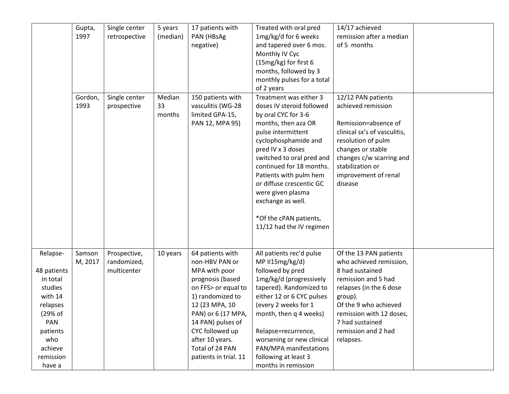|             | Gupta,  | Single center | 5 years  | 17 patients with      | Treated with oral pred     | 14/17 achieved               |  |
|-------------|---------|---------------|----------|-----------------------|----------------------------|------------------------------|--|
|             | 1997    | retrospective | (median) | PAN (HBsAg            | 1mg/kg/d for 6 weeks       | remission after a median     |  |
|             |         |               |          | negative)             | and tapered over 6 mos.    | of 5 months                  |  |
|             |         |               |          |                       | Monthly IV Cyc             |                              |  |
|             |         |               |          |                       | (15mg/kg) for first 6      |                              |  |
|             |         |               |          |                       | months, followed by 3      |                              |  |
|             |         |               |          |                       | monthly pulses for a total |                              |  |
|             |         |               |          |                       | of 2 years                 |                              |  |
|             | Gordon, | Single center | Median   | 150 patients with     | Treatment was either 3     | 12/12 PAN patients           |  |
|             | 1993    | prospective   | 33       | vasculitis (WG-28     | doses IV steroid followed  | achieved remission           |  |
|             |         |               | months   | limited GPA-15,       | by oral CYC for 3-6        |                              |  |
|             |         |               |          | PAN 12, MPA 95)       | months, then aza OR        | Remission=absence of         |  |
|             |         |               |          |                       | pulse intermittent         | clinical sx's of vasculitis, |  |
|             |         |               |          |                       | cyclophosphamide and       | resolution of pulm           |  |
|             |         |               |          |                       | pred IV x 3 doses          | changes or stable            |  |
|             |         |               |          |                       | switched to oral pred and  | changes c/w scarring and     |  |
|             |         |               |          |                       | continued for 18 months.   | stabilization or             |  |
|             |         |               |          |                       | Patients with pulm hem     | improvement of renal         |  |
|             |         |               |          |                       | or diffuse crescentic GC   | disease                      |  |
|             |         |               |          |                       | were given plasma          |                              |  |
|             |         |               |          |                       | exchange as well.          |                              |  |
|             |         |               |          |                       | *Of the cPAN patients,     |                              |  |
|             |         |               |          |                       | 11/12 had the IV regimen   |                              |  |
|             |         |               |          |                       |                            |                              |  |
|             |         |               |          |                       |                            |                              |  |
| Relapse-    | Samson  | Prospective,  | 10 years | 64 patients with      | All patients rec'd pulse   | Of the 13 PAN patients       |  |
|             | M, 2017 | randomized,   |          | non-HBV PAN or        | MP II15mg/kg/d)            | who achieved remission,      |  |
| 48 patients |         | multicenter   |          | MPA with poor         | followed by pred           | 8 had sustained              |  |
| in total    |         |               |          | prognosis (based      | 1mg/kg/d (progressively    | remission and 5 had          |  |
| studies     |         |               |          | on FFS> or equal to   | tapered). Randomized to    | relapses (in the 6 dose      |  |
| with 14     |         |               |          | 1) randomized to      | either 12 or 6 CYC pulses  | group).                      |  |
| relapses    |         |               |          | 12 (23 MPA, 10        | (every 2 weeks for 1       | Of the 9 who achieved        |  |
| (29% of     |         |               |          | PAN) or 6 (17 MPA,    | month, then q 4 weeks)     | remission with 12 doses,     |  |
| PAN         |         |               |          | 14 PAN) pulses of     |                            | 7 had sustained              |  |
| patients    |         |               |          | CYC followed up       | Relapse=recurrence,        | remission and 2 had          |  |
| who         |         |               |          | after 10 years.       | worsening or new clinical  | relapses.                    |  |
| achieve     |         |               |          | Total of 24 PAN       | PAN/MPA manifestations     |                              |  |
| remission   |         |               |          | patients in trial. 11 | following at least 3       |                              |  |
| have a      |         |               |          |                       | months in remission        |                              |  |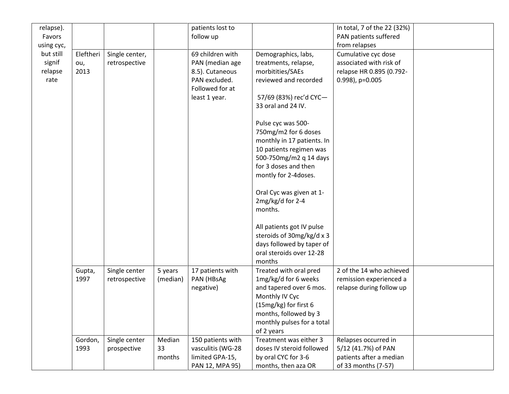| relapse).  |                 |                |              | patients lost to                     |                                                     | In total, 7 of the 22 (32%) |  |
|------------|-----------------|----------------|--------------|--------------------------------------|-----------------------------------------------------|-----------------------------|--|
| Favors     |                 |                |              | follow up                            |                                                     | PAN patients suffered       |  |
| using cyc, |                 |                |              |                                      |                                                     | from relapses               |  |
| but still  | Eleftheri       | Single center, |              | 69 children with                     | Demographics, labs,                                 | Cumulative cyc dose         |  |
| signif     | ou,             | retrospective  |              | PAN (median age                      | treatments, relapse,                                | associated with risk of     |  |
| relapse    | 2013            |                |              | 8.5). Cutaneous                      | morbitities/SAEs                                    | relapse HR 0.895 (0.792-    |  |
| rate       |                 |                |              | PAN excluded.                        | reviewed and recorded                               | 0.998), p=0.005             |  |
|            |                 |                |              | Followed for at                      |                                                     |                             |  |
|            |                 |                |              | least 1 year.                        | 57/69 (83%) rec'd CYC-                              |                             |  |
|            |                 |                |              |                                      | 33 oral and 24 IV.                                  |                             |  |
|            |                 |                |              |                                      |                                                     |                             |  |
|            |                 |                |              |                                      | Pulse cyc was 500-                                  |                             |  |
|            |                 |                |              |                                      | 750mg/m2 for 6 doses                                |                             |  |
|            |                 |                |              |                                      | monthly in 17 patients. In                          |                             |  |
|            |                 |                |              |                                      | 10 patients regimen was                             |                             |  |
|            |                 |                |              |                                      | 500-750mg/m2 q 14 days                              |                             |  |
|            |                 |                |              |                                      | for 3 doses and then                                |                             |  |
|            |                 |                |              |                                      | montly for 2-4doses.                                |                             |  |
|            |                 |                |              |                                      |                                                     |                             |  |
|            |                 |                |              |                                      | Oral Cyc was given at 1-                            |                             |  |
|            |                 |                |              |                                      | 2mg/kg/d for 2-4                                    |                             |  |
|            |                 |                |              |                                      | months.                                             |                             |  |
|            |                 |                |              |                                      |                                                     |                             |  |
|            |                 |                |              |                                      | All patients got IV pulse                           |                             |  |
|            |                 |                |              |                                      | steroids of 30mg/kg/d x 3                           |                             |  |
|            |                 |                |              |                                      | days followed by taper of                           |                             |  |
|            |                 |                |              |                                      | oral steroids over 12-28                            |                             |  |
|            |                 |                |              |                                      | months                                              |                             |  |
|            | Gupta,          | Single center  | 5 years      | 17 patients with                     | Treated with oral pred                              | 2 of the 14 who achieved    |  |
|            | 1997            | retrospective  | (median)     | PAN (HBsAg                           | 1mg/kg/d for 6 weeks                                | remission experienced a     |  |
|            |                 |                |              | negative)                            | and tapered over 6 mos.                             | relapse during follow up    |  |
|            |                 |                |              |                                      | Monthly IV Cyc                                      |                             |  |
|            |                 |                |              |                                      | (15mg/kg) for first 6                               |                             |  |
|            |                 |                |              |                                      | months, followed by 3                               |                             |  |
|            |                 |                |              |                                      | monthly pulses for a total                          |                             |  |
|            |                 |                |              |                                      | of 2 years                                          |                             |  |
|            | Gordon,<br>1993 | Single center  | Median<br>33 | 150 patients with                    | Treatment was either 3<br>doses IV steroid followed | Relapses occurred in        |  |
|            |                 | prospective    | months       | vasculitis (WG-28<br>limited GPA-15, | by oral CYC for 3-6                                 | 5/12 (41.7%) of PAN         |  |
|            |                 |                |              |                                      |                                                     | patients after a median     |  |
|            |                 |                |              | PAN 12, MPA 95)                      | months, then aza OR                                 | of 33 months (7-57)         |  |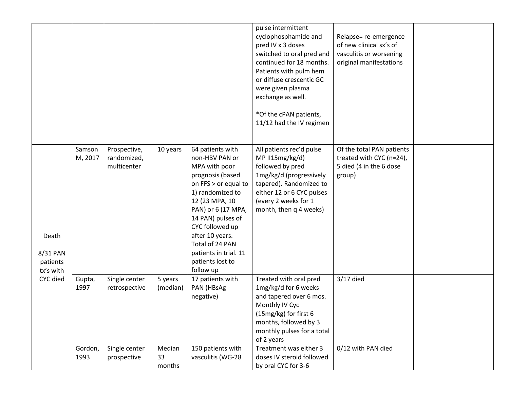|                                            |                   |                                            |                        |                                                                                                                                                                                                                                                                                                     | pulse intermittent<br>cyclophosphamide and<br>pred IV x 3 doses<br>switched to oral pred and<br>continued for 18 months.<br>Patients with pulm hem<br>or diffuse crescentic GC<br>were given plasma<br>exchange as well.<br>*Of the cPAN patients,<br>11/12 had the IV regimen | Relapse= re-emergence<br>of new clinical sx's of<br>vasculitis or worsening<br>original manifestations |  |
|--------------------------------------------|-------------------|--------------------------------------------|------------------------|-----------------------------------------------------------------------------------------------------------------------------------------------------------------------------------------------------------------------------------------------------------------------------------------------------|--------------------------------------------------------------------------------------------------------------------------------------------------------------------------------------------------------------------------------------------------------------------------------|--------------------------------------------------------------------------------------------------------|--|
| Death<br>8/31 PAN<br>patients<br>tx's with | Samson<br>M, 2017 | Prospective,<br>randomized,<br>multicenter | 10 years               | 64 patients with<br>non-HBV PAN or<br>MPA with poor<br>prognosis (based<br>on FFS > or equal to<br>1) randomized to<br>12 (23 MPA, 10<br>PAN) or 6 (17 MPA,<br>14 PAN) pulses of<br>CYC followed up<br>after 10 years.<br>Total of 24 PAN<br>patients in trial. 11<br>patients lost to<br>follow up | All patients rec'd pulse<br>MP II15mg/kg/d)<br>followed by pred<br>1mg/kg/d (progressively<br>tapered). Randomized to<br>either 12 or 6 CYC pulses<br>(every 2 weeks for 1<br>month, then q 4 weeks)                                                                           | Of the total PAN patients<br>treated with CYC (n=24),<br>5 died (4 in the 6 dose<br>group)             |  |
| CYC died                                   | Gupta,<br>1997    | Single center<br>retrospective             | 5 years<br>(median)    | 17 patients with<br>PAN (HBsAg<br>negative)                                                                                                                                                                                                                                                         | Treated with oral pred<br>1mg/kg/d for 6 weeks<br>and tapered over 6 mos.<br>Monthly IV Cyc<br>(15mg/kg) for first 6<br>months, followed by 3<br>monthly pulses for a total<br>of 2 years                                                                                      | $3/17$ died                                                                                            |  |
|                                            | Gordon,<br>1993   | Single center<br>prospective               | Median<br>33<br>months | 150 patients with<br>vasculitis (WG-28                                                                                                                                                                                                                                                              | Treatment was either 3<br>doses IV steroid followed<br>by oral CYC for 3-6                                                                                                                                                                                                     | 0/12 with PAN died                                                                                     |  |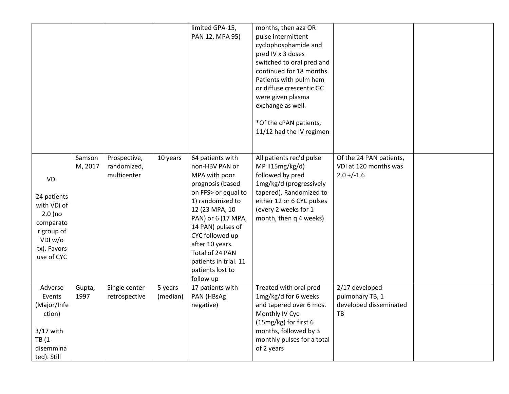|             |                |               |          | limited GPA-15,               | months, then aza OR                            |                         |  |
|-------------|----------------|---------------|----------|-------------------------------|------------------------------------------------|-------------------------|--|
|             |                |               |          | PAN 12, MPA 95)               | pulse intermittent                             |                         |  |
|             |                |               |          |                               | cyclophosphamide and                           |                         |  |
|             |                |               |          |                               | pred IV x 3 doses                              |                         |  |
|             |                |               |          |                               | switched to oral pred and                      |                         |  |
|             |                |               |          |                               | continued for 18 months.                       |                         |  |
|             |                |               |          |                               | Patients with pulm hem                         |                         |  |
|             |                |               |          |                               | or diffuse crescentic GC                       |                         |  |
|             |                |               |          |                               | were given plasma                              |                         |  |
|             |                |               |          |                               | exchange as well.                              |                         |  |
|             |                |               |          |                               | *Of the cPAN patients,                         |                         |  |
|             |                |               |          |                               | 11/12 had the IV regimen                       |                         |  |
|             |                |               |          |                               |                                                |                         |  |
|             |                |               |          |                               |                                                |                         |  |
|             | Samson         | Prospective,  | 10 years | 64 patients with              | All patients rec'd pulse                       | Of the 24 PAN patients, |  |
|             | M, 2017        | randomized,   |          | non-HBV PAN or                | MP II15mg/kg/d)                                | VDI at 120 months was   |  |
| <b>VDI</b>  |                | multicenter   |          | MPA with poor                 | followed by pred                               | $2.0 + (-1.6)$          |  |
|             |                |               |          | prognosis (based              | 1mg/kg/d (progressively                        |                         |  |
| 24 patients |                |               |          | on FFS> or equal to           | tapered). Randomized to                        |                         |  |
| with VDi of |                |               |          | 1) randomized to              | either 12 or 6 CYC pulses                      |                         |  |
| $2.0$ (no   |                |               |          | 12 (23 MPA, 10                | (every 2 weeks for 1                           |                         |  |
| comparato   |                |               |          | PAN) or 6 (17 MPA,            | month, then q 4 weeks)                         |                         |  |
| r group of  |                |               |          | 14 PAN) pulses of             |                                                |                         |  |
| VDI w/o     |                |               |          | CYC followed up               |                                                |                         |  |
| tx). Favors |                |               |          | after 10 years.               |                                                |                         |  |
| use of CYC  |                |               |          | Total of 24 PAN               |                                                |                         |  |
|             |                |               |          | patients in trial. 11         |                                                |                         |  |
|             |                |               |          | patients lost to              |                                                |                         |  |
| Adverse     |                | Single center | 5 years  | follow up<br>17 patients with | Treated with oral pred                         | 2/17 developed          |  |
| Events      | Gupta,<br>1997 | retrospective | (median) | PAN (HBsAg                    | 1mg/kg/d for 6 weeks                           | pulmonary TB, 1         |  |
|             |                |               |          |                               |                                                | developed disseminated  |  |
| (Major/Infe |                |               |          | negative)                     | and tapered over 6 mos.                        | TB                      |  |
| ction)      |                |               |          |                               | Monthly IV Cyc                                 |                         |  |
| $3/17$ with |                |               |          |                               | (15mg/kg) for first 6<br>months, followed by 3 |                         |  |
| TB(1)       |                |               |          |                               | monthly pulses for a total                     |                         |  |
| disemmina   |                |               |          |                               | of 2 years                                     |                         |  |
| ted). Still |                |               |          |                               |                                                |                         |  |
|             |                |               |          |                               |                                                |                         |  |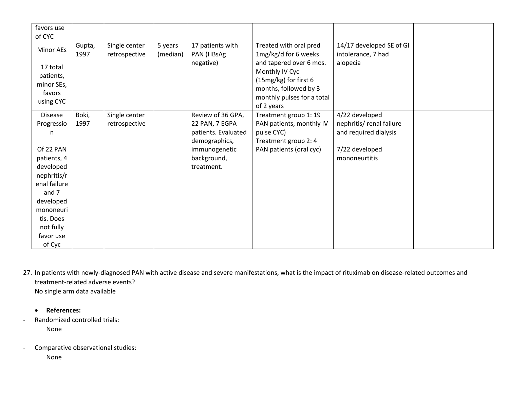| favors use             |                |                                |                     |                                |                                                |                                                |  |
|------------------------|----------------|--------------------------------|---------------------|--------------------------------|------------------------------------------------|------------------------------------------------|--|
| of CYC                 |                |                                |                     |                                |                                                |                                                |  |
| Minor AEs              | Gupta,<br>1997 | Single center<br>retrospective | 5 years<br>(median) | 17 patients with<br>PAN (HBsAg | Treated with oral pred<br>1mg/kg/d for 6 weeks | 14/17 developed SE of GI<br>intolerance, 7 had |  |
| 17 total               |                |                                |                     | negative)                      | and tapered over 6 mos.                        | alopecia                                       |  |
| patients,              |                |                                |                     |                                | Monthly IV Cyc                                 |                                                |  |
| minor SEs,             |                |                                |                     |                                | (15mg/kg) for first 6<br>months, followed by 3 |                                                |  |
| favors                 |                |                                |                     |                                | monthly pulses for a total                     |                                                |  |
| using CYC              |                |                                |                     |                                | of 2 years                                     |                                                |  |
| <b>Disease</b>         | Boki,          | Single center                  |                     | Review of 36 GPA,              | Treatment group 1: 19                          | 4/22 developed                                 |  |
| Progressio             | 1997           | retrospective                  |                     | 22 PAN, 7 EGPA                 | PAN patients, monthly IV                       | nephritis/ renal failure                       |  |
| n                      |                |                                |                     | patients. Evaluated            | pulse CYC)                                     | and required dialysis                          |  |
|                        |                |                                |                     | demographics,                  | Treatment group 2: 4                           |                                                |  |
| Of 22 PAN              |                |                                |                     | immunogenetic                  | PAN patients (oral cyc)                        | 7/22 developed                                 |  |
| patients, 4            |                |                                |                     | background,                    |                                                | mononeurtitis                                  |  |
| developed              |                |                                |                     | treatment.                     |                                                |                                                |  |
| nephritis/r            |                |                                |                     |                                |                                                |                                                |  |
| enal failure<br>and 7  |                |                                |                     |                                |                                                |                                                |  |
|                        |                |                                |                     |                                |                                                |                                                |  |
| developed<br>mononeuri |                |                                |                     |                                |                                                |                                                |  |
| tis. Does              |                |                                |                     |                                |                                                |                                                |  |
| not fully              |                |                                |                     |                                |                                                |                                                |  |
| favor use              |                |                                |                     |                                |                                                |                                                |  |
| of Cyc                 |                |                                |                     |                                |                                                |                                                |  |

27. In patients with newly-diagnosed PAN with active disease and severe manifestations, what is the impact of rituximab on disease-related outcomes and treatment-related adverse events? No single arm data available

• **References:**

- Randomized controlled trials: None

- Comparative observational studies: None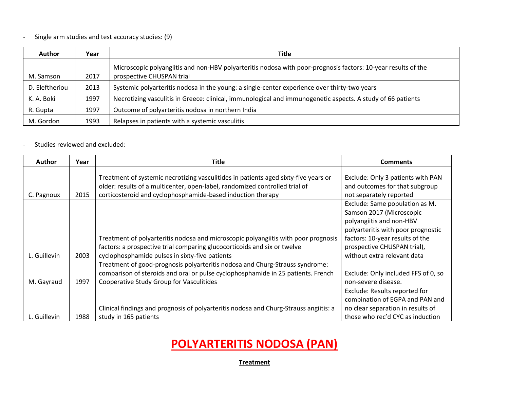## - Single arm studies and test accuracy studies: (9)

| <b>Author</b>  | Year | <b>Title</b>                                                                                                                               |
|----------------|------|--------------------------------------------------------------------------------------------------------------------------------------------|
| M. Samson      | 2017 | Microscopic polyangiitis and non-HBV polyarteritis nodosa with poor-prognosis factors: 10-year results of the<br>prospective CHUSPAN trial |
| D. Eleftheriou | 2013 | Systemic polyarteritis nodosa in the young: a single-center experience over thirty-two years                                               |
| K. A. Boki     | 1997 | Necrotizing vasculitis in Greece: clinical, immunological and immunogenetic aspects. A study of 66 patients                                |
| R. Gupta       | 1997 | Outcome of polyarteritis nodosa in northern India                                                                                          |
| M. Gordon      | 1993 | Relapses in patients with a systemic vasculitis                                                                                            |

## - Studies reviewed and excluded:

| <b>Author</b> | Year | <b>Title</b>                                                                                                                                                                                                                      | <b>Comments</b>                                                                                                                                                                                                               |
|---------------|------|-----------------------------------------------------------------------------------------------------------------------------------------------------------------------------------------------------------------------------------|-------------------------------------------------------------------------------------------------------------------------------------------------------------------------------------------------------------------------------|
| C. Pagnoux    | 2015 | Treatment of systemic necrotizing vasculitides in patients aged sixty-five years or<br>older: results of a multicenter, open-label, randomized controlled trial of<br>corticosteroid and cyclophosphamide-based induction therapy | Exclude: Only 3 patients with PAN<br>and outcomes for that subgroup<br>not separately reported                                                                                                                                |
| L. Guillevin  | 2003 | Treatment of polyarteritis nodosa and microscopic polyangiitis with poor prognosis<br>factors: a prospective trial comparing glucocorticoids and six or twelve<br>cyclophosphamide pulses in sixty-five patients                  | Exclude: Same population as M.<br>Samson 2017 (Microscopic<br>polyangiitis and non-HBV<br>polyarteritis with poor prognostic<br>factors: 10-year results of the<br>prospective CHUSPAN trial),<br>without extra relevant data |
| M. Gayraud    | 1997 | Treatment of good-prognosis polyarteritis nodosa and Churg-Strauss syndrome:<br>comparison of steroids and oral or pulse cyclophosphamide in 25 patients. French<br>Cooperative Study Group for Vasculitides                      | Exclude: Only included FFS of 0, so<br>non-severe disease.                                                                                                                                                                    |
| L. Guillevin  | 1988 | Clinical findings and prognosis of polyarteritis nodosa and Churg-Strauss angiitis: a<br>study in 165 patients                                                                                                                    | Exclude: Results reported for<br>combination of EGPA and PAN and<br>no clear separation in results of<br>those who rec'd CYC as induction                                                                                     |

# **POLYARTERITIS NODOSA (PAN)**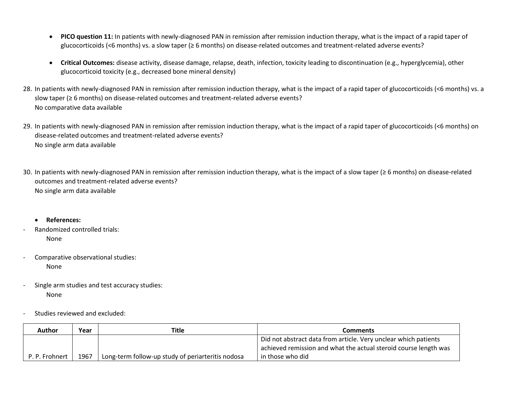- **PICO question 11:** In patients with newly-diagnosed PAN in remission after remission induction therapy, what is the impact of a rapid taper of glucocorticoids (<6 months) vs. a slow taper (≥ 6 months) on disease-related outcomes and treatment-related adverse events?
- **Critical Outcomes:** disease activity, disease damage, relapse, death, infection, toxicity leading to discontinuation (e.g., hyperglycemia), other glucocorticoid toxicity (e.g., decreased bone mineral density)
- 28. In patients with newly-diagnosed PAN in remission after remission induction therapy, what is the impact of a rapid taper of glucocorticoids (<6 months) vs. a slow taper (≥ 6 months) on disease-related outcomes and treatment-related adverse events? No comparative data available
- 29. In patients with newly-diagnosed PAN in remission after remission induction therapy, what is the impact of a rapid taper of glucocorticoids (<6 months) on disease-related outcomes and treatment-related adverse events? No single arm data available
- 30. In patients with newly-diagnosed PAN in remission after remission induction therapy, what is the impact of a slow taper (≥ 6 months) on disease-related outcomes and treatment-related adverse events? No single arm data available
	- **References:**
- Randomized controlled trials: None
- Comparative observational studies: None
- Single arm studies and test accuracy studies: None
- Studies reviewed and excluded:

| Author         | Year | Title                                             | Comments                                                                                                                            |
|----------------|------|---------------------------------------------------|-------------------------------------------------------------------------------------------------------------------------------------|
|                |      |                                                   | Did not abstract data from article. Very unclear which patients<br>achieved remission and what the actual steroid course length was |
| P. P. Frohnert | 1967 | Long-term follow-up study of periarteritis nodosa | in those who did                                                                                                                    |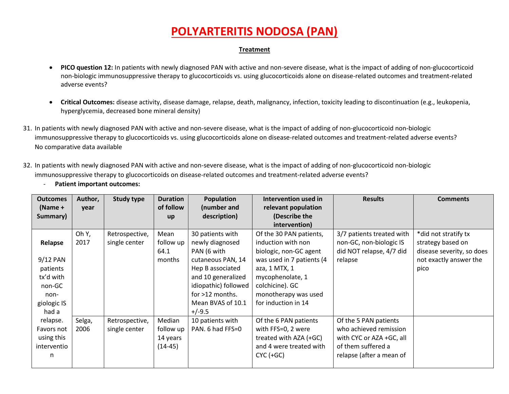- **PICO question 12:** In patients with newly diagnosed PAN with active and non-severe disease, what is the impact of adding of non-glucocorticoid non-biologic immunosuppressive therapy to glucocorticoids vs. using glucocorticoids alone on disease-related outcomes and treatment-related adverse events?
- **Critical Outcomes:** disease activity, disease damage, relapse, death, malignancy, infection, toxicity leading to discontinuation (e.g., leukopenia, hyperglycemia, decreased bone mineral density)
- 31. In patients with newly diagnosed PAN with active and non-severe disease, what is the impact of adding of non-glucocorticoid non-biologic immunosuppressive therapy to glucocorticoids vs. using glucocorticoids alone on disease-related outcomes and treatment-related adverse events? No comparative data available
- 32. In patients with newly diagnosed PAN with active and non-severe disease, what is the impact of adding of non-glucocorticoid non-biologic immunosuppressive therapy to glucocorticoids on disease-related outcomes and treatment-related adverse events?

| <b>Patient important outcomes:</b> |  |
|------------------------------------|--|
|                                    |  |

| <b>Outcomes</b><br>$(Name +$<br>Summary) | Author,<br>year | <b>Study type</b> | <b>Duration</b><br>of follow<br>up | <b>Population</b><br>(number and<br>description) | Intervention used in<br>relevant population<br>(Describe the<br>intervention) | <b>Results</b>            | <b>Comments</b>           |
|------------------------------------------|-----------------|-------------------|------------------------------------|--------------------------------------------------|-------------------------------------------------------------------------------|---------------------------|---------------------------|
|                                          | Oh Y,           | Retrospective,    | Mean                               | 30 patients with                                 | Of the 30 PAN patients,                                                       | 3/7 patients treated with | *did not stratify tx      |
| Relapse                                  | 2017            | single center     | follow up                          | newly diagnosed                                  | induction with non                                                            | non-GC, non-biologic IS   | strategy based on         |
|                                          |                 |                   | 64.1                               | PAN (6 with                                      | biologic, non-GC agent                                                        | did NOT relapse, 4/7 did  | disease severity, so does |
| 9/12 PAN                                 |                 |                   | months                             | cutaneous PAN, 14                                | was used in 7 patients (4                                                     | relapse                   | not exactly answer the    |
| patients                                 |                 |                   |                                    | Hep B associated                                 | aza, 1 MTX, 1                                                                 |                           | pico                      |
| tx'd with                                |                 |                   |                                    | and 10 generalized                               | mycophenolate, 1                                                              |                           |                           |
| non-GC                                   |                 |                   |                                    | idiopathic) followed                             | colchicine). GC                                                               |                           |                           |
| non-                                     |                 |                   |                                    | for >12 months.                                  | monotherapy was used                                                          |                           |                           |
| giologic IS                              |                 |                   |                                    | Mean BVAS of 10.1                                | for induction in 14                                                           |                           |                           |
| had a                                    |                 |                   |                                    | $+/-9.5$                                         |                                                                               |                           |                           |
| relapse.                                 | Selga,          | Retrospective,    | Median                             | 10 patients with                                 | Of the 6 PAN patients                                                         | Of the 5 PAN patients     |                           |
| Favors not                               | 2006            | single center     | follow up                          | PAN. 6 had FFS=0                                 | with FFS=0, 2 were                                                            | who achieved remission    |                           |
| using this                               |                 |                   | 14 years                           |                                                  | treated with AZA (+GC)                                                        | with CYC or AZA +GC, all  |                           |
| interventio                              |                 |                   | $(14-45)$                          |                                                  | and 4 were treated with                                                       | of them suffered a        |                           |
| n                                        |                 |                   |                                    |                                                  | $CYC (+GC)$                                                                   | relapse (after a mean of  |                           |
|                                          |                 |                   |                                    |                                                  |                                                                               |                           |                           |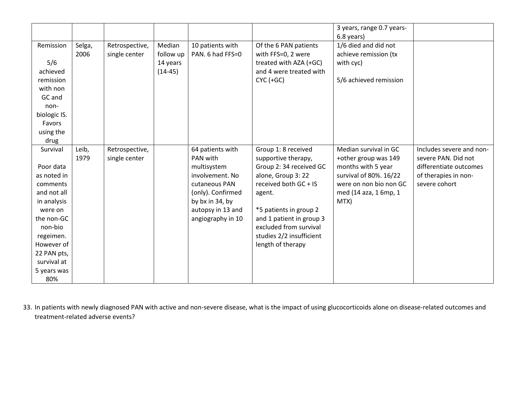|                                                                                                                                                                                                   |                |                                 |                                              |                                                                                                                                                                   |                                                                                                                                                                                                                                                                 | 3 years, range 0.7 years-<br>6.8 years)                                                                                                                  |                                                                                                                    |
|---------------------------------------------------------------------------------------------------------------------------------------------------------------------------------------------------|----------------|---------------------------------|----------------------------------------------|-------------------------------------------------------------------------------------------------------------------------------------------------------------------|-----------------------------------------------------------------------------------------------------------------------------------------------------------------------------------------------------------------------------------------------------------------|----------------------------------------------------------------------------------------------------------------------------------------------------------|--------------------------------------------------------------------------------------------------------------------|
| Remission<br>5/6<br>achieved<br>remission<br>with non<br>GC and<br>non-<br>biologic IS.<br>Favors<br>using the<br>drug                                                                            | Selga,<br>2006 | Retrospective,<br>single center | Median<br>follow up<br>14 years<br>$(14-45)$ | 10 patients with<br>PAN. 6 had FFS=0                                                                                                                              | Of the 6 PAN patients<br>with FFS=0, 2 were<br>treated with AZA (+GC)<br>and 4 were treated with<br>$CYC (+GC)$                                                                                                                                                 | 1/6 died and did not<br>achieve remission (tx<br>with cyc)<br>5/6 achieved remission                                                                     |                                                                                                                    |
| Survival<br>Poor data<br>as noted in<br>comments<br>and not all<br>in analysis<br>were on<br>the non-GC<br>non-bio<br>regeimen.<br>However of<br>22 PAN pts,<br>survival at<br>5 years was<br>80% | Leib,<br>1979  | Retrospective,<br>single center |                                              | 64 patients with<br>PAN with<br>multisystem<br>involvement. No<br>cutaneous PAN<br>(only). Confirmed<br>by bx in 34, by<br>autopsy in 13 and<br>angiography in 10 | Group 1: 8 received<br>supportive therapy,<br>Group 2: 34 received GC<br>alone, Group 3: 22<br>received both GC + IS<br>agent.<br>*5 patients in group 2<br>and 1 patient in group 3<br>excluded from survival<br>studies 2/2 insufficient<br>length of therapy | Median survival in GC<br>+other group was 149<br>months with 5 year<br>survival of 80%. 16/22<br>were on non bio non GC<br>med (14 aza, 1 6mp, 1<br>MTX) | Includes severe and non-<br>severe PAN. Did not<br>differentiate outcomes<br>of therapies in non-<br>severe cohort |

33. In patients with newly diagnosed PAN with active and non-severe disease, what is the impact of using glucocorticoids alone on disease-related outcomes and treatment-related adverse events?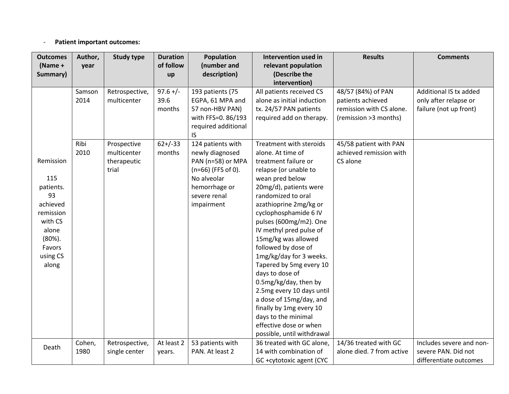### - **Patient important outcomes:**

| <b>Outcomes</b> | Author, | <b>Study type</b> | <b>Duration</b> | Population           | Intervention used in                           | <b>Results</b>            | <b>Comments</b>          |
|-----------------|---------|-------------------|-----------------|----------------------|------------------------------------------------|---------------------------|--------------------------|
| (Name +         | year    |                   | of follow       | (number and          | relevant population                            |                           |                          |
| Summary)        |         |                   | up              | description)         | (Describe the                                  |                           |                          |
|                 |         |                   |                 |                      | intervention)                                  |                           |                          |
|                 | Samson  | Retrospective,    | $97.6 +/-$      | 193 patients (75     | All patients received CS                       | 48/57 (84%) of PAN        | Additional IS tx added   |
|                 | 2014    | multicenter       | 39.6            | EGPA, 61 MPA and     | alone as initial induction                     | patients achieved         | only after relapse or    |
|                 |         |                   | months          | 57 non-HBV PAN)      | tx. 24/57 PAN patients                         | remission with CS alone.  | failure (not up front)   |
|                 |         |                   |                 | with FFS=0. 86/193   | required add on therapy.                       | (remission >3 months)     |                          |
|                 |         |                   |                 | required additional  |                                                |                           |                          |
|                 |         |                   |                 | IS.                  |                                                |                           |                          |
|                 | Ribi    | Prospective       | $62+/-33$       | 124 patients with    | Treatment with steroids                        | 45/58 patient with PAN    |                          |
|                 | 2010    | multicenter       | months          | newly diagnosed      | alone. At time of                              | achieved remission with   |                          |
| Remission       |         | therapeutic       |                 | PAN (n=58) or MPA    | treatment failure or                           | CS alone                  |                          |
|                 |         | trial             |                 | $(n=66)$ (FFS of 0). | relapse (or unable to                          |                           |                          |
| 115             |         |                   |                 | No alveolar          | wean pred below                                |                           |                          |
| patients.       |         |                   |                 | hemorrhage or        | 20mg/d), patients were                         |                           |                          |
| 93              |         |                   |                 | severe renal         | randomized to oral                             |                           |                          |
| achieved        |         |                   |                 | impairment           | azathioprine 2mg/kg or                         |                           |                          |
| remission       |         |                   |                 |                      | cyclophosphamide 6 IV                          |                           |                          |
| with CS         |         |                   |                 |                      | pulses (600mg/m2). One                         |                           |                          |
| alone           |         |                   |                 |                      | IV methyl pred pulse of                        |                           |                          |
| $(80\%)$ .      |         |                   |                 |                      | 15mg/kg was allowed                            |                           |                          |
| Favors          |         |                   |                 |                      | followed by dose of                            |                           |                          |
| using CS        |         |                   |                 |                      | 1mg/kg/day for 3 weeks.                        |                           |                          |
| along           |         |                   |                 |                      | Tapered by 5mg every 10                        |                           |                          |
|                 |         |                   |                 |                      | days to dose of                                |                           |                          |
|                 |         |                   |                 |                      | 0.5mg/kg/day, then by                          |                           |                          |
|                 |         |                   |                 |                      | 2.5mg every 10 days until                      |                           |                          |
|                 |         |                   |                 |                      | a dose of 15mg/day, and                        |                           |                          |
|                 |         |                   |                 |                      | finally by 1mg every 10<br>days to the minimal |                           |                          |
|                 |         |                   |                 |                      | effective dose or when                         |                           |                          |
|                 |         |                   |                 |                      | possible, until withdrawal                     |                           |                          |
|                 | Cohen,  | Retrospective,    | At least 2      | 53 patients with     | 36 treated with GC alone,                      | 14/36 treated with GC     | Includes severe and non- |
| Death           | 1980    | single center     | years.          | PAN. At least 2      | 14 with combination of                         | alone died. 7 from active | severe PAN. Did not      |
|                 |         |                   |                 |                      | GC +cytotoxic agent (CYC                       |                           | differentiate outcomes   |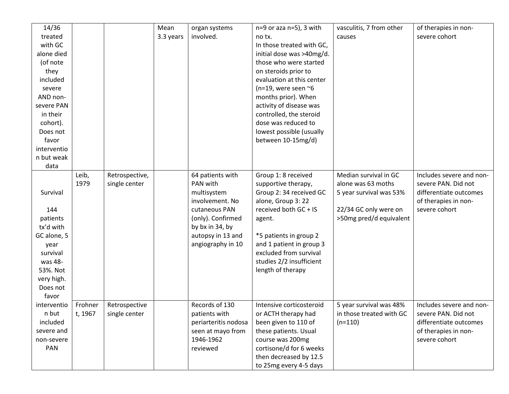| 14/36       |         |                | Mean      | organ systems        | n=9 or aza n=5), 3 with      | vasculitis, 7 from other | of therapies in non-     |
|-------------|---------|----------------|-----------|----------------------|------------------------------|--------------------------|--------------------------|
| treated     |         |                | 3.3 years | involved.            | no tx.                       | causes                   | severe cohort            |
| with GC     |         |                |           |                      | In those treated with GC,    |                          |                          |
| alone died  |         |                |           |                      | initial dose was >40mg/d.    |                          |                          |
| (of note    |         |                |           |                      | those who were started       |                          |                          |
| they        |         |                |           |                      | on steroids prior to         |                          |                          |
| included    |         |                |           |                      | evaluation at this center    |                          |                          |
| severe      |         |                |           |                      | (n=19, were seen $\approx$ 6 |                          |                          |
| AND non-    |         |                |           |                      | months prior). When          |                          |                          |
| severe PAN  |         |                |           |                      | activity of disease was      |                          |                          |
| in their    |         |                |           |                      | controlled, the steroid      |                          |                          |
| cohort).    |         |                |           |                      | dose was reduced to          |                          |                          |
| Does not    |         |                |           |                      | lowest possible (usually     |                          |                          |
| favor       |         |                |           |                      | between 10-15mg/d)           |                          |                          |
| interventio |         |                |           |                      |                              |                          |                          |
| n but weak  |         |                |           |                      |                              |                          |                          |
| data        |         |                |           |                      |                              |                          |                          |
|             | Leib,   | Retrospective, |           | 64 patients with     | Group 1: 8 received          | Median survival in GC    | Includes severe and non- |
|             | 1979    | single center  |           | PAN with             | supportive therapy,          | alone was 63 moths       | severe PAN. Did not      |
| Survival    |         |                |           | multisystem          | Group 2: 34 received GC      | 5 year survival was 53%  | differentiate outcomes   |
|             |         |                |           | involvement. No      | alone, Group 3: 22           |                          | of therapies in non-     |
| 144         |         |                |           | cutaneous PAN        | received both GC + IS        | 22/34 GC only were on    | severe cohort            |
| patients    |         |                |           | (only). Confirmed    | agent.                       | >50mg pred/d equivalent  |                          |
| tx'd with   |         |                |           | by bx in 34, by      |                              |                          |                          |
| GC alone, 5 |         |                |           | autopsy in 13 and    | *5 patients in group 2       |                          |                          |
| year        |         |                |           | angiography in 10    | and 1 patient in group 3     |                          |                          |
| survival    |         |                |           |                      | excluded from survival       |                          |                          |
| was 48-     |         |                |           |                      | studies 2/2 insufficient     |                          |                          |
| 53%. Not    |         |                |           |                      | length of therapy            |                          |                          |
| very high.  |         |                |           |                      |                              |                          |                          |
| Does not    |         |                |           |                      |                              |                          |                          |
| favor       |         |                |           |                      |                              |                          |                          |
| interventio | Frohner | Retrospective  |           | Records of 130       | Intensive corticosteroid     | 5 year survival was 48%  | Includes severe and non- |
| n but       | t, 1967 | single center  |           | patients with        | or ACTH therapy had          | in those treated with GC | severe PAN. Did not      |
| included    |         |                |           | periarteritis nodosa | been given to 110 of         | $(n=110)$                | differentiate outcomes   |
| severe and  |         |                |           | seen at mayo from    | these patients. Usual        |                          | of therapies in non-     |
| non-severe  |         |                |           | 1946-1962            | course was 200mg             |                          | severe cohort            |
| PAN         |         |                |           | reviewed             | cortisone/d for 6 weeks      |                          |                          |
|             |         |                |           |                      | then decreased by 12.5       |                          |                          |
|             |         |                |           |                      | to 25mg every 4-5 days       |                          |                          |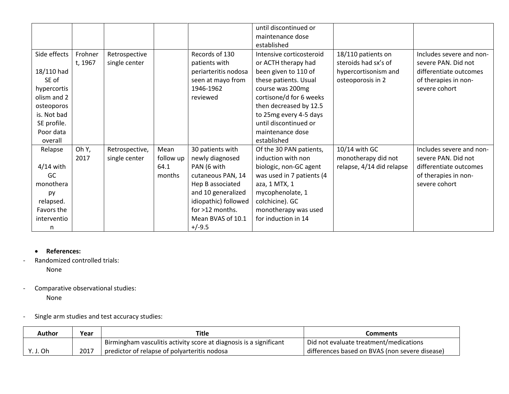|              |         |                |           |                      | until discontinued or     |                           |                          |
|--------------|---------|----------------|-----------|----------------------|---------------------------|---------------------------|--------------------------|
|              |         |                |           |                      | maintenance dose          |                           |                          |
|              |         |                |           |                      | established               |                           |                          |
| Side effects | Frohner | Retrospective  |           | Records of 130       | Intensive corticosteroid  | 18/110 patients on        | Includes severe and non- |
|              | t, 1967 | single center  |           | patients with        | or ACTH therapy had       | steroids had sx's of      | severe PAN. Did not      |
| 18/110 had   |         |                |           | periarteritis nodosa | been given to 110 of      | hypercortisonism and      | differentiate outcomes   |
| SE of        |         |                |           | seen at mayo from    | these patients. Usual     | osteoporosis in 2         | of therapies in non-     |
| hypercortis  |         |                |           | 1946-1962            | course was 200mg          |                           | severe cohort            |
| olism and 2  |         |                |           | reviewed             | cortisone/d for 6 weeks   |                           |                          |
| osteoporos   |         |                |           |                      | then decreased by 12.5    |                           |                          |
| is. Not bad  |         |                |           |                      | to 25mg every 4-5 days    |                           |                          |
| SE profile.  |         |                |           |                      | until discontinued or     |                           |                          |
| Poor data    |         |                |           |                      | maintenance dose          |                           |                          |
| overall      |         |                |           |                      | established               |                           |                          |
| Relapse      | Oh Y,   | Retrospective, | Mean      | 30 patients with     | Of the 30 PAN patients,   | 10/14 with GC             | Includes severe and non- |
|              | 2017    | single center  | follow up | newly diagnosed      | induction with non        | monotherapy did not       | severe PAN. Did not      |
| $4/14$ with  |         |                | 64.1      | PAN (6 with          | biologic, non-GC agent    | relapse, 4/14 did relapse | differentiate outcomes   |
| GC           |         |                | months    | cutaneous PAN, 14    | was used in 7 patients (4 |                           | of therapies in non-     |
| monothera    |         |                |           | Hep B associated     | aza, 1 MTX, 1             |                           | severe cohort            |
| py           |         |                |           | and 10 generalized   | mycophenolate, 1          |                           |                          |
| relapsed.    |         |                |           | idiopathic) followed | colchicine). GC           |                           |                          |
| Favors the   |         |                |           | for >12 months.      | monotherapy was used      |                           |                          |
| interventio  |         |                |           | Mean BVAS of 10.1    | for induction in 14       |                           |                          |
| n            |         |                |           | $+/-9.5$             |                           |                           |                          |

### • **References:**

- Randomized controlled trials:

None

- Comparative observational studies: None
- Single arm studies and test accuracy studies:

| <b>Author</b> | Year | Title                                                              | Comments                                       |
|---------------|------|--------------------------------------------------------------------|------------------------------------------------|
|               |      | Birmingham vasculitis activity score at diagnosis is a significant | Did not evaluate treatment/medications         |
| Y. J. Oh      | 2017 | predictor of relapse of polyarteritis nodosa                       | differences based on BVAS (non severe disease) |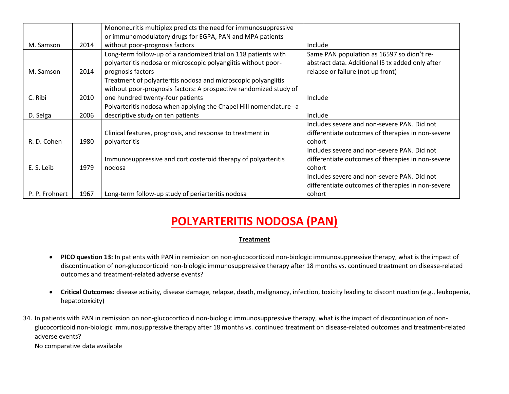|                |      | Mononeuritis multiplex predicts the need for immunosuppressive     |                                                   |
|----------------|------|--------------------------------------------------------------------|---------------------------------------------------|
|                |      | or immunomodulatory drugs for EGPA, PAN and MPA patients           |                                                   |
| M. Samson      | 2014 | without poor-prognosis factors                                     | Include                                           |
|                |      | Long-term follow-up of a randomized trial on 118 patients with     | Same PAN population as 16597 so didn't re-        |
|                |      | polyarteritis nodosa or microscopic polyangiitis without poor-     | abstract data. Additional IS tx added only after  |
| M. Samson      | 2014 | prognosis factors                                                  | relapse or failure (not up front)                 |
|                |      | Treatment of polyarteritis nodosa and microscopic polyangiitis     |                                                   |
|                |      | without poor-prognosis factors: A prospective randomized study of  |                                                   |
| C. Ribi        | 2010 | one hundred twenty-four patients                                   | Include                                           |
|                |      | Polyarteritis nodosa when applying the Chapel Hill nomenclature--a |                                                   |
| D. Selga       | 2006 | descriptive study on ten patients                                  | Include                                           |
|                |      |                                                                    | Includes severe and non-severe PAN. Did not       |
|                |      | Clinical features, prognosis, and response to treatment in         | differentiate outcomes of therapies in non-severe |
| R. D. Cohen    | 1980 | polyarteritis                                                      | cohort                                            |
|                |      |                                                                    | Includes severe and non-severe PAN. Did not       |
|                |      | Immunosuppressive and corticosteroid therapy of polyarteritis      | differentiate outcomes of therapies in non-severe |
| E. S. Leib     | 1979 | nodosa                                                             | cohort                                            |
|                |      |                                                                    | Includes severe and non-severe PAN. Did not       |
|                |      |                                                                    | differentiate outcomes of therapies in non-severe |
| P. P. Frohnert | 1967 | Long-term follow-up study of periarteritis nodosa                  | cohort                                            |

### **Treatment**

- **PICO question 13:** In patients with PAN in remission on non-glucocorticoid non-biologic immunosuppressive therapy, what is the impact of discontinuation of non-glucocorticoid non-biologic immunosuppressive therapy after 18 months vs. continued treatment on disease-related outcomes and treatment-related adverse events?
- **Critical Outcomes:** disease activity, disease damage, relapse, death, malignancy, infection, toxicity leading to discontinuation (e.g., leukopenia, hepatotoxicity)
- 34. In patients with PAN in remission on non-glucocorticoid non-biologic immunosuppressive therapy, what is the impact of discontinuation of nonglucocorticoid non-biologic immunosuppressive therapy after 18 months vs. continued treatment on disease-related outcomes and treatment-related adverse events?

No comparative data available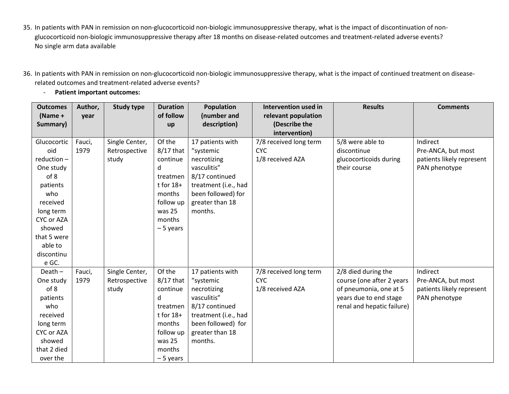- 35. In patients with PAN in remission on non-glucocorticoid non-biologic immunosuppressive therapy, what is the impact of discontinuation of nonglucocorticoid non-biologic immunosuppressive therapy after 18 months on disease-related outcomes and treatment-related adverse events? No single arm data available
- 36. In patients with PAN in remission on non-glucocorticoid non-biologic immunosuppressive therapy, what is the impact of continued treatment on diseaserelated outcomes and treatment-related adverse events?
	- **Patient important outcomes:**

| <b>Outcomes</b> | Author, | <b>Study type</b> | <b>Duration</b> | Population           | Intervention used in   | <b>Results</b>             | <b>Comments</b>           |
|-----------------|---------|-------------------|-----------------|----------------------|------------------------|----------------------------|---------------------------|
| $(Name +$       | year    |                   | of follow       | (number and          | relevant population    |                            |                           |
| Summary)        |         |                   | up              | description)         | (Describe the          |                            |                           |
|                 |         |                   |                 |                      | intervention)          |                            |                           |
| Glucocortic     | Fauci,  | Single Center,    | Of the          | 17 patients with     | 7/8 received long term | 5/8 were able to           | Indirect                  |
| oid             | 1979    | Retrospective     | $8/17$ that     | "systemic            | <b>CYC</b>             | discontinue                | Pre-ANCA, but most        |
| reduction-      |         | study             | continue        | necrotizing          | 1/8 received AZA       | glucocorticoids during     | patients likely represent |
| One study       |         |                   | d               | vasculitis"          |                        | their course               | PAN phenotype             |
| of 8            |         |                   | treatmen        | 8/17 continued       |                        |                            |                           |
| patients        |         |                   | $t$ for $18+$   | treatment (i.e., had |                        |                            |                           |
| who             |         |                   | months          | been followed) for   |                        |                            |                           |
| received        |         |                   | follow up       | greater than 18      |                        |                            |                           |
| long term       |         |                   | was 25          | months.              |                        |                            |                           |
| CYC or AZA      |         |                   | months          |                      |                        |                            |                           |
| showed          |         |                   | $-5$ years      |                      |                        |                            |                           |
| that 5 were     |         |                   |                 |                      |                        |                            |                           |
| able to         |         |                   |                 |                      |                        |                            |                           |
| discontinu      |         |                   |                 |                      |                        |                            |                           |
| e GC.           |         |                   |                 |                      |                        |                            |                           |
| Death $-$       | Fauci,  | Single Center,    | Of the          | 17 patients with     | 7/8 received long term | 2/8 died during the        | Indirect                  |
| One study       | 1979    | Retrospective     | $8/17$ that     | "systemic            | <b>CYC</b>             | course (one after 2 years  | Pre-ANCA, but most        |
| of 8            |         | study             | continue        | necrotizing          | 1/8 received AZA       | of pneumonia, one at 5     | patients likely represent |
| patients        |         |                   | d               | vasculitis"          |                        | years due to end stage     | PAN phenotype             |
| who             |         |                   | treatmen        | 8/17 continued       |                        | renal and hepatic failure) |                           |
| received        |         |                   | $t$ for $18+$   | treatment (i.e., had |                        |                            |                           |
| long term       |         |                   | months          | been followed) for   |                        |                            |                           |
| CYC or AZA      |         |                   | follow up       | greater than 18      |                        |                            |                           |
| showed          |         |                   | was 25          | months.              |                        |                            |                           |
| that 2 died     |         |                   | months          |                      |                        |                            |                           |
| over the        |         |                   | $-5$ years      |                      |                        |                            |                           |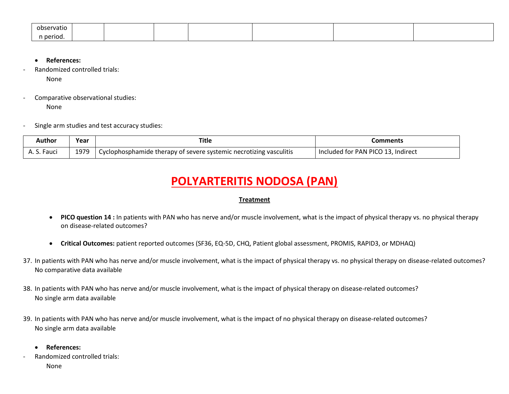| observatio |  |  |  |  |
|------------|--|--|--|--|
| n period.  |  |  |  |  |

- **References:**
- Randomized controlled trials: None
- Comparative observational studies: None
- Single arm studies and test accuracy studies:

| Author      | Year | Title                                                                           | Comments                           |
|-------------|------|---------------------------------------------------------------------------------|------------------------------------|
| A. S. Fauci | 1979 | <sup>1</sup> Cyclophosphamide therapy of severe systemic necrotizing vasculitis | Included for PAN PICO 13, Indirect |

- **PICO question 14 :** In patients with PAN who has nerve and/or muscle involvement, what is the impact of physical therapy vs. no physical therapy on disease-related outcomes?
- **Critical Outcomes:** patient reported outcomes (SF36, EQ-5D, CHQ, Patient global assessment, PROMIS, RAPID3, or MDHAQ)
- 37. In patients with PAN who has nerve and/or muscle involvement, what is the impact of physical therapy vs. no physical therapy on disease-related outcomes? No comparative data available
- 38. In patients with PAN who has nerve and/or muscle involvement, what is the impact of physical therapy on disease-related outcomes? No single arm data available
- 39. In patients with PAN who has nerve and/or muscle involvement, what is the impact of no physical therapy on disease-related outcomes? No single arm data available
	- **References:**
- Randomized controlled trials: None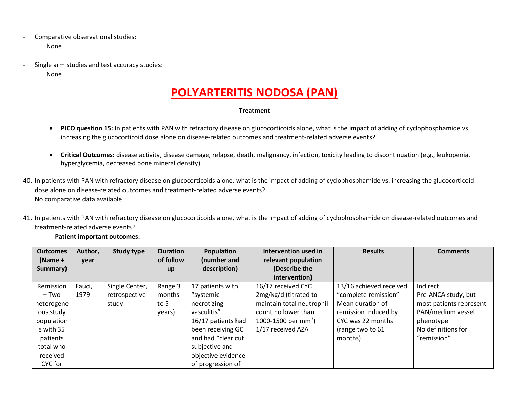- Comparative observational studies: None
- Single arm studies and test accuracy studies:

None

# **POLYARTERITIS NODOSA (PAN)**

- **PICO question 15:** In patients with PAN with refractory disease on glucocorticoids alone, what is the impact of adding of cyclophosphamide vs. increasing the glucocorticoid dose alone on disease-related outcomes and treatment-related adverse events?
- **Critical Outcomes:** disease activity, disease damage, relapse, death, malignancy, infection, toxicity leading to discontinuation (e.g., leukopenia, hyperglycemia, decreased bone mineral density)
- 40. In patients with PAN with refractory disease on glucocorticoids alone, what is the impact of adding of cyclophosphamide vs. increasing the glucocorticoid dose alone on disease-related outcomes and treatment-related adverse events? No comparative data available
- 41. In patients with PAN with refractory disease on glucocorticoids alone, what is the impact of adding of cyclophosphamide on disease-related outcomes and treatment-related adverse events?

|  |  |  | <b>Patient important outcomes:</b> |
|--|--|--|------------------------------------|
|--|--|--|------------------------------------|

| <b>Outcomes</b><br>$(Name +$ | Author,<br>year | Study type     | <b>Duration</b><br>of follow | Population<br>(number and | Intervention used in<br>relevant population | <b>Results</b>          | <b>Comments</b>         |
|------------------------------|-----------------|----------------|------------------------------|---------------------------|---------------------------------------------|-------------------------|-------------------------|
| Summary)                     |                 |                | up                           | description)              | (Describe the                               |                         |                         |
|                              |                 |                |                              |                           | intervention)                               |                         |                         |
| Remission                    | Fauci,          | Single Center, | Range 3                      | 17 patients with          | 16/17 received CYC                          | 13/16 achieved received | Indirect                |
| – Two                        | 1979            | retrospective  | months                       | "systemic                 | 2mg/kg/d (titrated to                       | "complete remission"    | Pre-ANCA study, but     |
| heterogene                   |                 | study          | to 5                         | necrotizing               | maintain total neutrophil                   | Mean duration of        | most patients represent |
| ous study                    |                 |                | years)                       | vasculitis"               | count no lower than                         | remission induced by    | PAN/medium vessel       |
| population                   |                 |                |                              | 16/17 patients had        | 1000-1500 per mm <sup>3</sup> )             | CYC was 22 months       | phenotype               |
| s with 35                    |                 |                |                              | been receiving GC         | 1/17 received AZA                           | (range two to 61        | No definitions for      |
| patients                     |                 |                |                              | and had "clear cut        |                                             | months)                 | "remission"             |
| total who                    |                 |                |                              | subjective and            |                                             |                         |                         |
| received                     |                 |                |                              | objective evidence        |                                             |                         |                         |
| CYC for                      |                 |                |                              | of progression of         |                                             |                         |                         |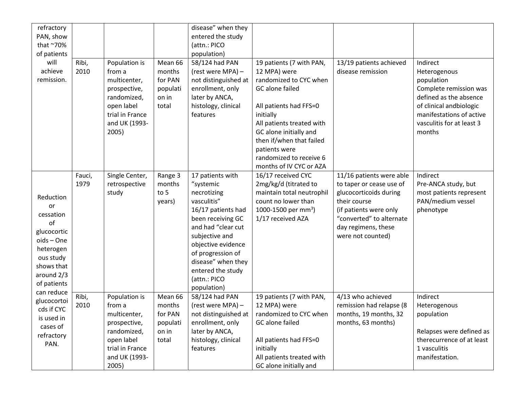| refractory<br>PAN, show<br>that ~70%<br>of patients                                                                                         |                |                                                                                                                                   |                                                            | disease" when they<br>entered the study<br>(attn.: PICO<br>population)                                                                                                                                                                                              |                                                                                                                                                                                                                                                                                        |                                                                                                                                                                                                  |                                                                                                                                                                                          |
|---------------------------------------------------------------------------------------------------------------------------------------------|----------------|-----------------------------------------------------------------------------------------------------------------------------------|------------------------------------------------------------|---------------------------------------------------------------------------------------------------------------------------------------------------------------------------------------------------------------------------------------------------------------------|----------------------------------------------------------------------------------------------------------------------------------------------------------------------------------------------------------------------------------------------------------------------------------------|--------------------------------------------------------------------------------------------------------------------------------------------------------------------------------------------------|------------------------------------------------------------------------------------------------------------------------------------------------------------------------------------------|
| will<br>achieve<br>remission.                                                                                                               | Ribi,<br>2010  | Population is<br>from a<br>multicenter,<br>prospective,<br>randomized,<br>open label<br>trial in France<br>and UK (1993-<br>2005) | Mean 66<br>months<br>for PAN<br>populati<br>on in<br>total | 58/124 had PAN<br>(rest were MPA) -<br>not distinguished at<br>enrollment, only<br>later by ANCA,<br>histology, clinical<br>features                                                                                                                                | 19 patients (7 with PAN,<br>12 MPA) were<br>randomized to CYC when<br>GC alone failed<br>All patients had FFS=0<br>initially<br>All patients treated with<br>GC alone initially and<br>then if/when that failed<br>patients were<br>randomized to receive 6<br>months of IV CYC or AZA | 13/19 patients achieved<br>disease remission                                                                                                                                                     | Indirect<br>Heterogenous<br>population<br>Complete remission was<br>defined as the absence<br>of clinical andbiologic<br>manifestations of active<br>vasculitis for at least 3<br>months |
| Reduction<br><b>or</b><br>cessation<br>of<br>glucocortic<br>oids - One<br>heterogen<br>ous study<br>shows that<br>around 2/3<br>of patients | Fauci,<br>1979 | Single Center,<br>retrospective<br>study                                                                                          | Range 3<br>months<br>to 5<br>years)                        | 17 patients with<br>"systemic<br>necrotizing<br>vasculitis"<br>16/17 patients had<br>been receiving GC<br>and had "clear cut<br>subjective and<br>objective evidence<br>of progression of<br>disease" when they<br>entered the study<br>(attn.: PICO<br>population) | 16/17 received CYC<br>2mg/kg/d (titrated to<br>maintain total neutrophil<br>count no lower than<br>1000-1500 per mm <sup>3</sup> )<br>1/17 received AZA                                                                                                                                | 11/16 patients were able<br>to taper or cease use of<br>glucocorticoids during<br>their course<br>(if patients were only<br>"converted" to alternate<br>day regimens, these<br>were not counted) | Indirect<br>Pre-ANCA study, but<br>most patients represent<br>PAN/medium vessel<br>phenotype                                                                                             |
| can reduce<br>glucocortoi<br>cds if CYC<br>is used in<br>cases of<br>refractory<br>PAN.                                                     | Ribi,<br>2010  | Population is<br>from a<br>multicenter,<br>prospective,<br>randomized,<br>open label<br>trial in France<br>and UK (1993-<br>2005) | Mean 66<br>months<br>for PAN<br>populati<br>on in<br>total | 58/124 had PAN<br>(rest were MPA) -<br>not distinguished at<br>enrollment, only<br>later by ANCA,<br>histology, clinical<br>features                                                                                                                                | 19 patients (7 with PAN,<br>12 MPA) were<br>randomized to CYC when<br>GC alone failed<br>All patients had FFS=0<br>initially<br>All patients treated with<br>GC alone initially and                                                                                                    | 4/13 who achieved<br>remission had relapse (8<br>months, 19 months, 32<br>months, 63 months)                                                                                                     | Indirect<br>Heterogenous<br>population<br>Relapses were defined as<br>therecurrence of at least<br>1 vasculitis<br>manifestation.                                                        |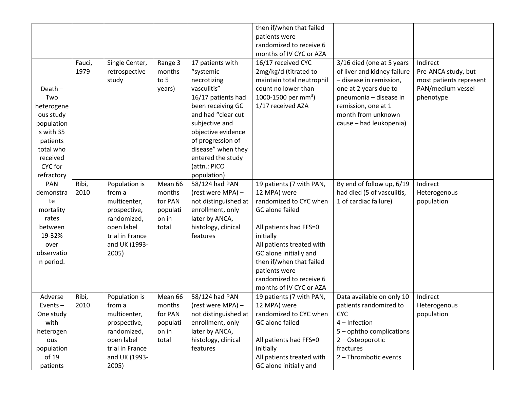|            |        |                 |          |                      | then if/when that failed        |                             |                         |
|------------|--------|-----------------|----------|----------------------|---------------------------------|-----------------------------|-------------------------|
|            |        |                 |          |                      | patients were                   |                             |                         |
|            |        |                 |          |                      | randomized to receive 6         |                             |                         |
|            |        |                 |          |                      | months of IV CYC or AZA         |                             |                         |
|            | Fauci, | Single Center,  | Range 3  | 17 patients with     | 16/17 received CYC              | 3/16 died (one at 5 years   | Indirect                |
|            | 1979   | retrospective   | months   | "systemic            | 2mg/kg/d (titrated to           | of liver and kidney failure | Pre-ANCA study, but     |
|            |        | study           | to 5     | necrotizing          | maintain total neutrophil       | - disease in remission,     | most patients represent |
| $Death -$  |        |                 | years)   | vasculitis"          | count no lower than             | one at 2 years due to       | PAN/medium vessel       |
| Two        |        |                 |          | 16/17 patients had   | 1000-1500 per mm <sup>3</sup> ) | pneumonia - disease in      | phenotype               |
| heterogene |        |                 |          | been receiving GC    | 1/17 received AZA               | remission, one at 1         |                         |
| ous study  |        |                 |          | and had "clear cut   |                                 | month from unknown          |                         |
| population |        |                 |          | subjective and       |                                 | cause - had leukopenia)     |                         |
| s with 35  |        |                 |          | objective evidence   |                                 |                             |                         |
| patients   |        |                 |          | of progression of    |                                 |                             |                         |
| total who  |        |                 |          | disease" when they   |                                 |                             |                         |
| received   |        |                 |          | entered the study    |                                 |                             |                         |
| CYC for    |        |                 |          | (attn.: PICO         |                                 |                             |                         |
| refractory |        |                 |          | population)          |                                 |                             |                         |
| PAN        | Ribi,  | Population is   | Mean 66  | 58/124 had PAN       | 19 patients (7 with PAN,        | By end of follow up, 6/19   | Indirect                |
| demonstra  | 2010   | from a          | months   | (rest were MPA) -    | 12 MPA) were                    | had died (5 of vasculitis,  | Heterogenous            |
| te         |        | multicenter,    | for PAN  | not distinguished at | randomized to CYC when          | 1 of cardiac failure)       | population              |
| mortality  |        | prospective,    | populati | enrollment, only     | GC alone failed                 |                             |                         |
| rates      |        | randomized,     | on in    | later by ANCA,       |                                 |                             |                         |
| between    |        | open label      | total    | histology, clinical  | All patients had FFS=0          |                             |                         |
| 19-32%     |        | trial in France |          | features             | initially                       |                             |                         |
| over       |        | and UK (1993-   |          |                      | All patients treated with       |                             |                         |
| observatio |        | 2005)           |          |                      | GC alone initially and          |                             |                         |
| n period.  |        |                 |          |                      | then if/when that failed        |                             |                         |
|            |        |                 |          |                      | patients were                   |                             |                         |
|            |        |                 |          |                      | randomized to receive 6         |                             |                         |
|            |        |                 |          |                      | months of IV CYC or AZA         |                             |                         |
| Adverse    | Ribi,  | Population is   | Mean 66  | 58/124 had PAN       | 19 patients (7 with PAN,        | Data available on only 10   | Indirect                |
| Events $-$ | 2010   | from a          | months   | (rest were MPA) -    | 12 MPA) were                    | patients randomized to      | Heterogenous            |
| One study  |        | multicenter,    | for PAN  | not distinguished at | randomized to CYC when          | <b>CYC</b>                  | population              |
| with       |        | prospective,    | populati | enrollment, only     | GC alone failed                 | $4$ – Infection             |                         |
| heterogen  |        | randomized,     | on in    | later by ANCA,       |                                 | 5 - ophtho complications    |                         |
| ous        |        | open label      | total    | histology, clinical  | All patients had FFS=0          | 2 - Osteoporotic            |                         |
| population |        | trial in France |          | features             | initially                       | fractures                   |                         |
| of 19      |        | and UK (1993-   |          |                      | All patients treated with       | 2 - Thrombotic events       |                         |
| patients   |        |                 |          |                      |                                 |                             |                         |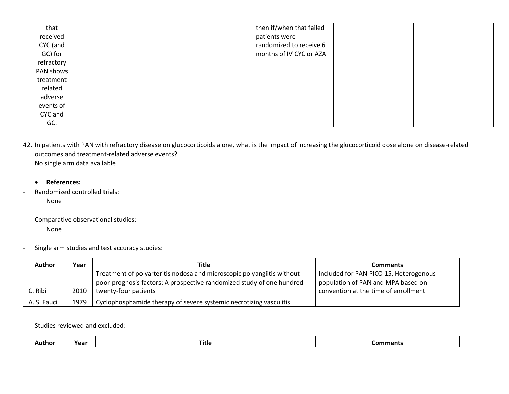| that       |  |  | then if/when that failed |  |
|------------|--|--|--------------------------|--|
| received   |  |  | patients were            |  |
| CYC (and   |  |  | randomized to receive 6  |  |
| GC) for    |  |  | months of IV CYC or AZA  |  |
| refractory |  |  |                          |  |
| PAN shows  |  |  |                          |  |
| treatment  |  |  |                          |  |
| related    |  |  |                          |  |
| adverse    |  |  |                          |  |
| events of  |  |  |                          |  |
| CYC and    |  |  |                          |  |
| GC.        |  |  |                          |  |

42. In patients with PAN with refractory disease on glucocorticoids alone, what is the impact of increasing the glucocorticoid dose alone on disease-related outcomes and treatment-related adverse events? No single arm data available

- **References:**
- Randomized controlled trials:

None

- Comparative observational studies: None
- Single arm studies and test accuracy studies:

| <b>Author</b> | Year | Title                                                                  | <b>Comments</b>                        |
|---------------|------|------------------------------------------------------------------------|----------------------------------------|
|               |      | Treatment of polyarteritis nodosa and microscopic polyangiitis without | Included for PAN PICO 15, Heterogenous |
|               |      | poor-prognosis factors: A prospective randomized study of one hundred  | population of PAN and MPA based on     |
| C. Ribi       | 2010 | twenty-four patients                                                   | convention at the time of enrollment   |
| A. S. Fauci   | 1979 | Cyclophosphamide therapy of severe systemic necrotizing vasculitis     |                                        |

### Studies reviewed and excluded:

| Year<br>Comments<br>Title<br>Author |
|-------------------------------------|
|-------------------------------------|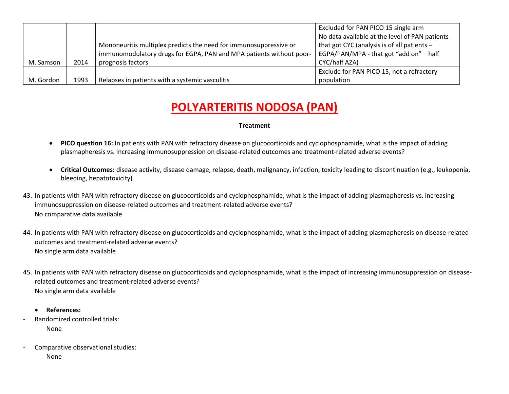|           |      |                                                                     | Excluded for PAN PICO 15 single arm            |
|-----------|------|---------------------------------------------------------------------|------------------------------------------------|
|           |      |                                                                     | No data available at the level of PAN patients |
|           |      | Mononeuritis multiplex predicts the need for immunosuppressive or   | that got CYC (analysis is of all patients $-$  |
|           |      | immunomodulatory drugs for EGPA, PAN and MPA patients without poor- | EGPA/PAN/MPA - that got "add on" - half        |
| M. Samson | 2014 | prognosis factors                                                   | CYC/half AZA)                                  |
|           |      |                                                                     | Exclude for PAN PICO 15, not a refractory      |
| M. Gordon | 1993 | Relapses in patients with a systemic vasculitis                     | population                                     |

- **PICO question 16:** In patients with PAN with refractory disease on glucocorticoids and cyclophosphamide, what is the impact of adding plasmapheresis vs. increasing immunosuppression on disease-related outcomes and treatment-related adverse events?
- **Critical Outcomes:** disease activity, disease damage, relapse, death, malignancy, infection, toxicity leading to discontinuation (e.g., leukopenia, bleeding, hepatotoxicity)
- 43. In patients with PAN with refractory disease on glucocorticoids and cyclophosphamide, what is the impact of adding plasmapheresis vs. increasing immunosuppression on disease-related outcomes and treatment-related adverse events? No comparative data available
- 44. In patients with PAN with refractory disease on glucocorticoids and cyclophosphamide, what is the impact of adding plasmapheresis on disease-related outcomes and treatment-related adverse events? No single arm data available
- 45. In patients with PAN with refractory disease on glucocorticoids and cyclophosphamide, what is the impact of increasing immunosuppression on diseaserelated outcomes and treatment-related adverse events? No single arm data available
	- **References:**
- Randomized controlled trials: None
- Comparative observational studies: None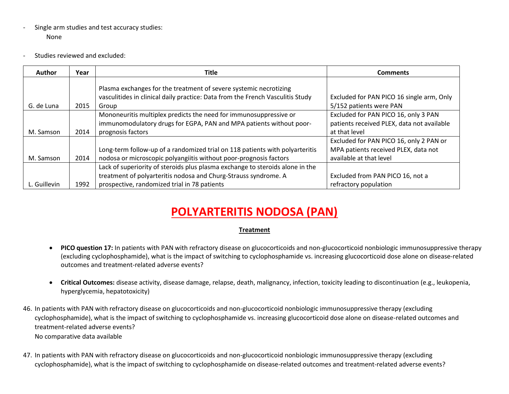- Single arm studies and test accuracy studies: None
- Studies reviewed and excluded:

| <b>Author</b> | Year | Title                                                                          | <b>Comments</b>                            |
|---------------|------|--------------------------------------------------------------------------------|--------------------------------------------|
|               |      | Plasma exchanges for the treatment of severe systemic necrotizing              |                                            |
|               |      | vasculitides in clinical daily practice: Data from the French Vasculitis Study | Excluded for PAN PICO 16 single arm, Only  |
| G. de Luna    | 2015 | Group                                                                          | 5/152 patients were PAN                    |
|               |      | Mononeuritis multiplex predicts the need for immunosuppressive or              | Excluded for PAN PICO 16, only 3 PAN       |
|               |      | immunomodulatory drugs for EGPA, PAN and MPA patients without poor-            | patients received PLEX, data not available |
| M. Samson     | 2014 | prognosis factors                                                              | at that level                              |
|               |      |                                                                                | Excluded for PAN PICO 16, only 2 PAN or    |
|               |      | Long-term follow-up of a randomized trial on 118 patients with polyarteritis   | MPA patients received PLEX, data not       |
| M. Samson     | 2014 | nodosa or microscopic polyangiitis without poor-prognosis factors              | available at that level                    |
|               |      | Lack of superiority of steroids plus plasma exchange to steroids alone in the  |                                            |
|               |      | treatment of polyarteritis nodosa and Churg-Strauss syndrome. A                | Excluded from PAN PICO 16, not a           |
| L. Guillevin  | 1992 | prospective, randomized trial in 78 patients                                   | refractory population                      |

- **PICO question 17:** In patients with PAN with refractory disease on glucocorticoids and non-glucocorticoid nonbiologic immunosuppressive therapy (excluding cyclophosphamide), what is the impact of switching to cyclophosphamide vs. increasing glucocorticoid dose alone on disease-related outcomes and treatment-related adverse events?
- **Critical Outcomes:** disease activity, disease damage, relapse, death, malignancy, infection, toxicity leading to discontinuation (e.g., leukopenia, hyperglycemia, hepatotoxicity)
- 46. In patients with PAN with refractory disease on glucocorticoids and non-glucocorticoid nonbiologic immunosuppressive therapy (excluding cyclophosphamide), what is the impact of switching to cyclophosphamide vs. increasing glucocorticoid dose alone on disease-related outcomes and treatment-related adverse events? No comparative data available
- 47. In patients with PAN with refractory disease on glucocorticoids and non-glucocorticoid nonbiologic immunosuppressive therapy (excluding cyclophosphamide), what is the impact of switching to cyclophosphamide on disease-related outcomes and treatment-related adverse events?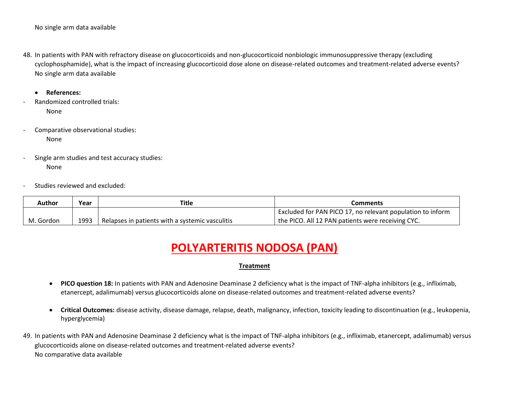- 48. In patients with PAN with refractory disease on glucocorticoids and non-glucocorticoid nonbiologic immunosuppressive therapy (excluding cyclophosphamide), what is the impact of increasing glucocorticoid dose alone on disease-related outcomes and treatment-related adverse events? No single arm data available
	- **References:**
- Randomized controlled trials: None
- Comparative observational studies: None
- Single arm studies and test accuracy studies: None
- Studies reviewed and excluded:

| <b>Author</b> | Year | <b>Title</b>                                    | Comments                                                   |
|---------------|------|-------------------------------------------------|------------------------------------------------------------|
|               |      |                                                 | Excluded for PAN PICO 17, no relevant population to inform |
| M. Gordon     | 1993 | Relapses in patients with a systemic vasculitis | the PICO. All 12 PAN patients were receiving CYC.          |

- **PICO question 18:** In patients with PAN and Adenosine Deaminase 2 deficiency what is the impact of TNF-alpha inhibitors (e.g., infliximab, etanercept, adalimumab) versus glucocorticoids alone on disease-related outcomes and treatment-related adverse events?
- **Critical Outcomes:** disease activity, disease damage, relapse, death, malignancy, infection, toxicity leading to discontinuation (e.g., leukopenia, hyperglycemia)
- 49. In patients with PAN and Adenosine Deaminase 2 deficiency what is the impact of TNF-alpha inhibitors (e.g., infliximab, etanercept, adalimumab) versus glucocorticoids alone on disease-related outcomes and treatment-related adverse events? No comparative data available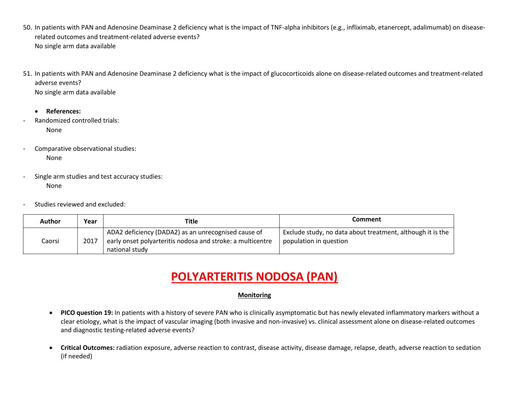- 50. In patients with PAN and Adenosine Deaminase 2 deficiency what is the impact of TNF-alpha inhibitors (e.g., infliximab, etanercept, adalimumab) on diseaserelated outcomes and treatment-related adverse events? No single arm data available
- 51. In patients with PAN and Adenosine Deaminase 2 deficiency what is the impact of glucocorticoids alone on disease-related outcomes and treatment-related adverse events? No single arm data available
	- **References:**
- Randomized controlled trials: None
- Comparative observational studies: None
- Single arm studies and test accuracy studies: None
- Studies reviewed and excluded:

| Author | Year | Title                                                                                                                               | Comment                                                                              |
|--------|------|-------------------------------------------------------------------------------------------------------------------------------------|--------------------------------------------------------------------------------------|
| Caorsi | 2017 | ADA2 deficiency (DADA2) as an unrecognised cause of<br>early onset polyarteritis nodosa and stroke: a multicentre<br>national study | Exclude study, no data about treatment, although it is the<br>population in question |

### **Monitoring**

- **PICO question 19:** In patients with a history of severe PAN who is clinically asymptomatic but has newly elevated inflammatory markers without a clear etiology, what is the impact of vascular imaging (both invasive and non-invasive) vs. clinical assessment alone on disease-related outcomes and diagnostic testing-related adverse events?
- **Critical Outcomes:** radiation exposure, adverse reaction to contrast, disease activity, disease damage, relapse, death, adverse reaction to sedation (if needed)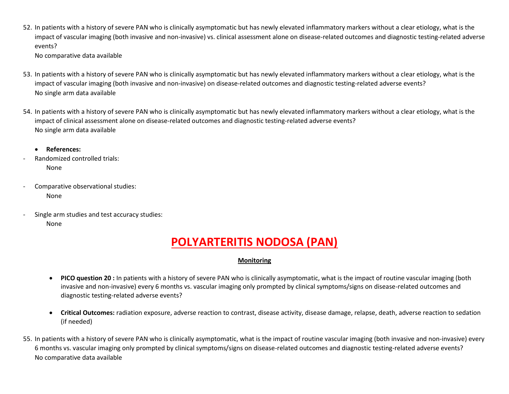52. In patients with a history of severe PAN who is clinically asymptomatic but has newly elevated inflammatory markers without a clear etiology, what is the impact of vascular imaging (both invasive and non-invasive) vs. clinical assessment alone on disease-related outcomes and diagnostic testing-related adverse events? No comparative data available

53. In patients with a history of severe PAN who is clinically asymptomatic but has newly elevated inflammatory markers without a clear etiology, what is the impact of vascular imaging (both invasive and non-invasive) on disease-related outcomes and diagnostic testing-related adverse events? No single arm data available

- 54. In patients with a history of severe PAN who is clinically asymptomatic but has newly elevated inflammatory markers without a clear etiology, what is the impact of clinical assessment alone on disease-related outcomes and diagnostic testing-related adverse events? No single arm data available
	- **References:**
- Randomized controlled trials: None
- Comparative observational studies: None
- Single arm studies and test accuracy studies: None

# **POLYARTERITIS NODOSA (PAN)**

### **Monitoring**

- **PICO question 20 :** In patients with a history of severe PAN who is clinically asymptomatic, what is the impact of routine vascular imaging (both invasive and non-invasive) every 6 months vs. vascular imaging only prompted by clinical symptoms/signs on disease-related outcomes and diagnostic testing-related adverse events?
- **Critical Outcomes:** radiation exposure, adverse reaction to contrast, disease activity, disease damage, relapse, death, adverse reaction to sedation (if needed)
- 55. In patients with a history of severe PAN who is clinically asymptomatic, what is the impact of routine vascular imaging (both invasive and non-invasive) every 6 months vs. vascular imaging only prompted by clinical symptoms/signs on disease-related outcomes and diagnostic testing-related adverse events? No comparative data available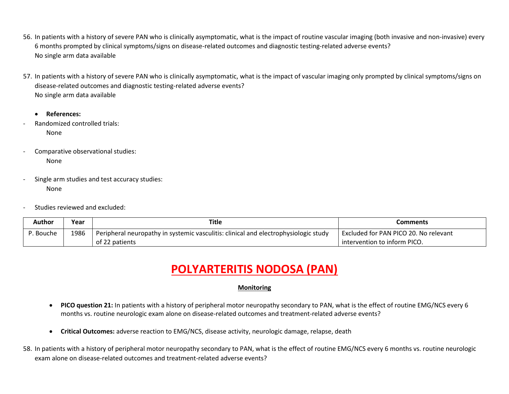- 56. In patients with a history of severe PAN who is clinically asymptomatic, what is the impact of routine vascular imaging (both invasive and non-invasive) every 6 months prompted by clinical symptoms/signs on disease-related outcomes and diagnostic testing-related adverse events? No single arm data available
- 57. In patients with a history of severe PAN who is clinically asymptomatic, what is the impact of vascular imaging only prompted by clinical symptoms/signs on disease-related outcomes and diagnostic testing-related adverse events? No single arm data available
	- **References:**
- Randomized controlled trials: None
- Comparative observational studies: None
- Single arm studies and test accuracy studies: None
- Studies reviewed and excluded:

| Author    | Year | <b>Title</b>                                                                        | Comments                              |
|-----------|------|-------------------------------------------------------------------------------------|---------------------------------------|
| P. Bouche | 1986 | Peripheral neuropathy in systemic vasculitis: clinical and electrophysiologic study | Excluded for PAN PICO 20. No relevant |
|           |      | of 22 patients                                                                      | intervention to inform PICO.          |

### **Monitoring**

- **PICO question 21:** In patients with a history of peripheral motor neuropathy secondary to PAN, what is the effect of routine EMG/NCS every 6 months vs. routine neurologic exam alone on disease-related outcomes and treatment-related adverse events?
- **Critical Outcomes:** adverse reaction to EMG/NCS, disease activity, neurologic damage, relapse, death
- 58. In patients with a history of peripheral motor neuropathy secondary to PAN, what is the effect of routine EMG/NCS every 6 months vs. routine neurologic exam alone on disease-related outcomes and treatment-related adverse events?